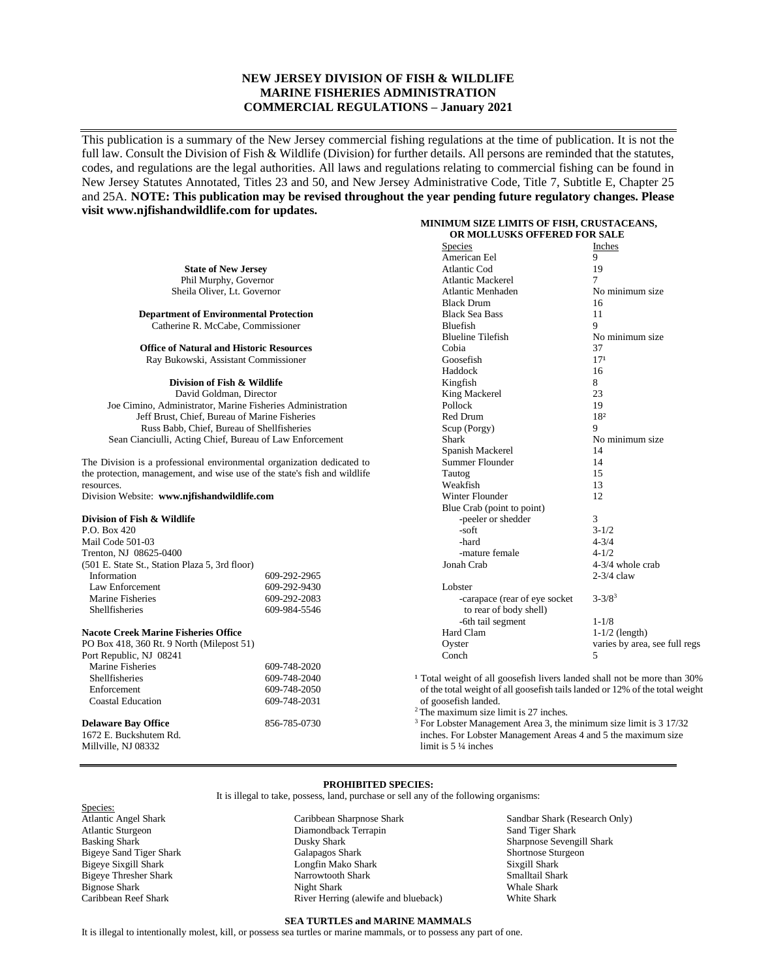# **NEW JERSEY DIVISION OF FISH & WILDLIFE MARINE FISHERIES ADMINISTRATION COMMERCIAL REGULATIONS – January 2021**

This publication is a summary of the New Jersey commercial fishing regulations at the time of publication. It is not the full law. Consult the Division of Fish & Wildlife (Division) for further details. All persons are reminded that the statutes, codes, and regulations are the legal authorities. All laws and regulations relating to commercial fishing can be found in New Jersey Statutes Annotated, Titles 23 and 50, and New Jersey Administrative Code, Title 7, Subtitle E, Chapter 25 and 25A. **NOTE: This publication may be revised throughout the year pending future regulatory changes. Please visit www.njfishandwildlife.com for updates.**

|                                                                           |              | MINIMUM SIZE LIMITS OF FISH, CRUSTACEANS,                                           |                               |
|---------------------------------------------------------------------------|--------------|-------------------------------------------------------------------------------------|-------------------------------|
|                                                                           |              | OR MOLLUSKS OFFERED FOR SALE                                                        |                               |
|                                                                           |              | <b>Species</b>                                                                      | Inches                        |
|                                                                           |              | American Eel                                                                        | 9                             |
| <b>State of New Jersey</b>                                                |              | Atlantic Cod                                                                        | 19                            |
| Phil Murphy, Governor                                                     |              | <b>Atlantic Mackerel</b>                                                            | $\overline{7}$                |
| Sheila Oliver, Lt. Governor                                               |              | Atlantic Menhaden                                                                   | No minimum size               |
|                                                                           |              | <b>Black Drum</b>                                                                   | 16                            |
| <b>Department of Environmental Protection</b>                             |              | <b>Black Sea Bass</b>                                                               | 11                            |
| Catherine R. McCabe, Commissioner                                         |              | Bluefish                                                                            | 9                             |
|                                                                           |              | <b>Blueline Tilefish</b>                                                            | No minimum size               |
| <b>Office of Natural and Historic Resources</b>                           |              | Cobia                                                                               | 37                            |
| Ray Bukowski, Assistant Commissioner                                      |              | Goosefish                                                                           | 17 <sup>1</sup>               |
|                                                                           |              | Haddock                                                                             | 16                            |
| Division of Fish & Wildlife                                               |              | Kingfish                                                                            | 8                             |
| David Goldman, Director                                                   |              | King Mackerel                                                                       | 23                            |
| Joe Cimino, Administrator, Marine Fisheries Administration                |              | Pollock                                                                             | 19                            |
| Jeff Brust, Chief, Bureau of Marine Fisheries                             |              | Red Drum                                                                            | 182                           |
| Russ Babb, Chief, Bureau of Shellfisheries                                |              | Scup (Porgy)                                                                        | 9                             |
| Sean Cianciulli, Acting Chief, Bureau of Law Enforcement                  |              | <b>Shark</b>                                                                        | No minimum size               |
|                                                                           |              | Spanish Mackerel                                                                    | 14                            |
| The Division is a professional environmental organization dedicated to    |              | Summer Flounder                                                                     | 14                            |
| the protection, management, and wise use of the state's fish and wildlife |              | Tautog                                                                              | 15                            |
| resources.                                                                |              | Weakfish                                                                            | 13                            |
| Division Website: www.njfishandwildlife.com                               |              | Winter Flounder                                                                     | 12                            |
|                                                                           |              | Blue Crab (point to point)                                                          |                               |
| Division of Fish & Wildlife                                               |              | -peeler or shedder                                                                  | 3                             |
| P.O. Box 420                                                              |              | -soft                                                                               | $3 - 1/2$                     |
| Mail Code 501-03                                                          |              | -hard                                                                               | $4 - 3/4$                     |
| Trenton, NJ 08625-0400                                                    |              | -mature female                                                                      | $4 - 1/2$                     |
| (501 E. State St., Station Plaza 5, 3rd floor)                            |              | Jonah Crab                                                                          | 4-3/4 whole crab              |
| Information                                                               | 609-292-2965 |                                                                                     | $2-3/4$ claw                  |
| Law Enforcement                                                           | 609-292-9430 | Lobster                                                                             |                               |
| Marine Fisheries                                                          | 609-292-2083 | -carapace (rear of eye socket                                                       | $3 - 3/8^3$                   |
| Shellfisheries                                                            | 609-984-5546 | to rear of body shell)                                                              |                               |
|                                                                           |              | -6th tail segment                                                                   | $1 - 1/8$                     |
| <b>Nacote Creek Marine Fisheries Office</b>                               |              | Hard Clam                                                                           | $1-1/2$ (length)              |
| PO Box 418, 360 Rt. 9 North (Milepost 51)                                 |              | Oyster                                                                              | varies by area, see full regs |
| Port Republic, NJ 08241                                                   |              | Conch                                                                               | 5                             |
| Marine Fisheries                                                          | 609-748-2020 |                                                                                     |                               |
| Shellfisheries                                                            | 609-748-2040 | <sup>1</sup> Total weight of all goosefish livers landed shall not be more than 30% |                               |
| Enforcement                                                               | 609-748-2050 | of the total weight of all goosefish tails landed or 12% of the total weight        |                               |
| <b>Coastal Education</b>                                                  | 609-748-2031 | of goosefish landed.                                                                |                               |
|                                                                           |              | $2$ The maximum size limit is 27 inches.                                            |                               |
| <b>Delaware Bay Office</b>                                                | 856-785-0730 | <sup>3</sup> For Lobster Management Area 3, the minimum size limit is 3 17/32       |                               |
| 1672 E. Buckshutem Rd.                                                    |              | inches. For Lobster Management Areas 4 and 5 the maximum size                       |                               |
|                                                                           |              |                                                                                     |                               |

1672 E. Buck Millville, NJ 08332

**PROHIBITED SPECIES:**

It is illegal to take, possess, land, purchase or sell any of the following organisms:

limit is 5 ¼ inches

Species: Atlantic Angel Shark Atlantic Sturgeon Basking Shark Bigeye Sand Tiger Shark Bigeye Sixgill Shark Bigeye Thresher Shark Bignose Shark Caribbean Reef Shark

Caribbean Sharpnose Shark Diamondback Terrapin Dusky Shark Galapagos Shark Longfin Mako Shark Narrowtooth Shark Night Shark River Herring (alewife and blueback)

Sandbar Shark (Research Only) Sand Tiger Shark Sharpnose Sevengill Shark Shortnose Sturgeon Sixgill Shark Smalltail Shark Whale Shark White Shark

#### **SEA TURTLES and MARINE MAMMALS**

It is illegal to intentionally molest, kill, or possess sea turtles or marine mammals, or to possess any part of one.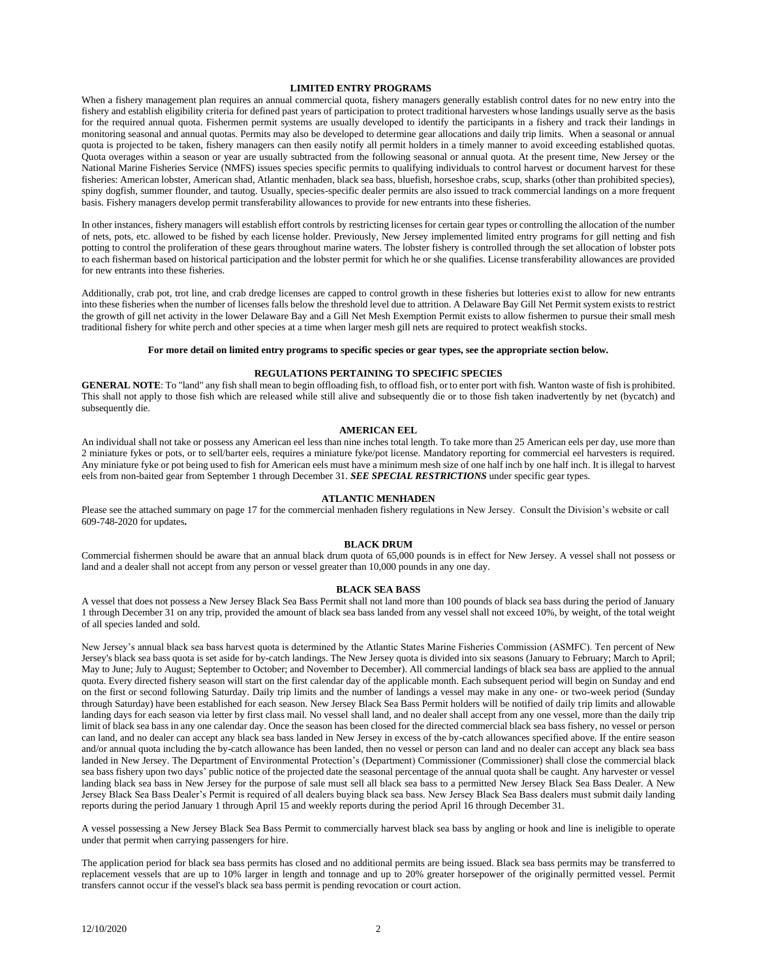## **LIMITED ENTRY PROGRAMS**

When a fishery management plan requires an annual commercial quota, fishery managers generally establish control dates for no new entry into the fishery and establish eligibility criteria for defined past years of participation to protect traditional harvesters whose landings usually serve as the basis for the required annual quota. Fishermen permit systems are usually developed to identify the participants in a fishery and track their landings in monitoring seasonal and annual quotas. Permits may also be developed to determine gear allocations and daily trip limits. When a seasonal or annual quota is projected to be taken, fishery managers can then easily notify all permit holders in a timely manner to avoid exceeding established quotas. Quota overages within a season or year are usually subtracted from the following seasonal or annual quota. At the present time, New Jersey or the National Marine Fisheries Service (NMFS) issues species specific permits to qualifying individuals to control harvest or document harvest for these fisheries: American lobster, American shad, Atlantic menhaden, black sea bass, bluefish, horseshoe crabs, scup, sharks (other than prohibited species), spiny dogfish, summer flounder, and tautog. Usually, species-specific dealer permits are also issued to track commercial landings on a more frequent basis. Fishery managers develop permit transferability allowances to provide for new entrants into these fisheries.

In other instances, fishery managers will establish effort controls by restricting licenses for certain gear types or controlling the allocation of the number of nets, pots, etc. allowed to be fished by each license holder. Previously, New Jersey implemented limited entry programs for gill netting and fish potting to control the proliferation of these gears throughout marine waters. The lobster fishery is controlled through the set allocation of lobster pots to each fisherman based on historical participation and the lobster permit for which he or she qualifies. License transferability allowances are provided for new entrants into these fisheries.

Additionally, crab pot, trot line, and crab dredge licenses are capped to control growth in these fisheries but lotteries exist to allow for new entrants into these fisheries when the number of licenses falls below the threshold level due to attrition. A Delaware Bay Gill Net Permit system exists to restrict the growth of gill net activity in the lower Delaware Bay and a Gill Net Mesh Exemption Permit exists to allow fishermen to pursue their small mesh traditional fishery for white perch and other species at a time when larger mesh gill nets are required to protect weakfish stocks.

### **For more detail on limited entry programs to specific species or gear types, see the appropriate section below.**

### **REGULATIONS PERTAINING TO SPECIFIC SPECIES**

**GENERAL NOTE**: To "land" any fish shall mean to begin offloading fish, to offload fish, or to enter port with fish. Wanton waste of fish is prohibited. This shall not apply to those fish which are released while still alive and subsequently die or to those fish taken inadvertently by net (bycatch) and subsequently die.

#### **AMERICAN EEL**

An individual shall not take or possess any American eel less than nine inches total length. To take more than 25 American eels per day, use more than 2 miniature fykes or pots, or to sell/barter eels, requires a miniature fyke/pot license. Mandatory reporting for commercial eel harvesters is required. Any miniature fyke or pot being used to fish for American eels must have a minimum mesh size of one half inch by one half inch. It is illegal to harvest eels from non-baited gear from September 1 through December 31. *SEE SPECIAL RESTRICTIONS* under specific gear types.

#### **ATLANTIC MENHADEN**

Please see the attached summary on page 17 for the commercial menhaden fishery regulations in New Jersey. Consult the Division's website or call 609-748-2020 for updates**.**

## **BLACK DRUM**

Commercial fishermen should be aware that an annual black drum quota of 65,000 pounds is in effect for New Jersey. A vessel shall not possess or land and a dealer shall not accept from any person or vessel greater than 10,000 pounds in any one day.

#### **BLACK SEA BASS**

A vessel that does not possess a New Jersey Black Sea Bass Permit shall not land more than 100 pounds of black sea bass during the period of January 1 through December 31 on any trip, provided the amount of black sea bass landed from any vessel shall not exceed 10%, by weight, of the total weight of all species landed and sold.

New Jersey's annual black sea bass harvest quota is determined by the Atlantic States Marine Fisheries Commission (ASMFC). Ten percent of New Jersey's black sea bass quota is set aside for by-catch landings. The New Jersey quota is divided into six seasons (January to February; March to April; May to June; July to August; September to October; and November to December). All commercial landings of black sea bass are applied to the annual quota. Every directed fishery season will start on the first calendar day of the applicable month. Each subsequent period will begin on Sunday and end on the first or second following Saturday. Daily trip limits and the number of landings a vessel may make in any one- or two-week period (Sunday through Saturday) have been established for each season. New Jersey Black Sea Bass Permit holders will be notified of daily trip limits and allowable landing days for each season via letter by first class mail. No vessel shall land, and no dealer shall accept from any one vessel, more than the daily trip limit of black sea bass in any one calendar day. Once the season has been closed for the directed commercial black sea bass fishery, no vessel or person can land, and no dealer can accept any black sea bass landed in New Jersey in excess of the by-catch allowances specified above. If the entire season and/or annual quota including the by-catch allowance has been landed, then no vessel or person can land and no dealer can accept any black sea bass landed in New Jersey. The Department of Environmental Protection's (Department) Commissioner (Commissioner) shall close the commercial black sea bass fishery upon two days' public notice of the projected date the seasonal percentage of the annual quota shall be caught. Any harvester or vessel landing black sea bass in New Jersey for the purpose of sale must sell all black sea bass to a permitted New Jersey Black Sea Bass Dealer. A New Jersey Black Sea Bass Dealer's Permit is required of all dealers buying black sea bass. New Jersey Black Sea Bass dealers must submit daily landing reports during the period January 1 through April 15 and weekly reports during the period April 16 through December 31.

A vessel possessing a New Jersey Black Sea Bass Permit to commercially harvest black sea bass by angling or hook and line is ineligible to operate under that permit when carrying passengers for hire.

The application period for black sea bass permits has closed and no additional permits are being issued. Black sea bass permits may be transferred to replacement vessels that are up to 10% larger in length and tonnage and up to 20% greater horsepower of the originally permitted vessel. Permit transfers cannot occur if the vessel's black sea bass permit is pending revocation or court action.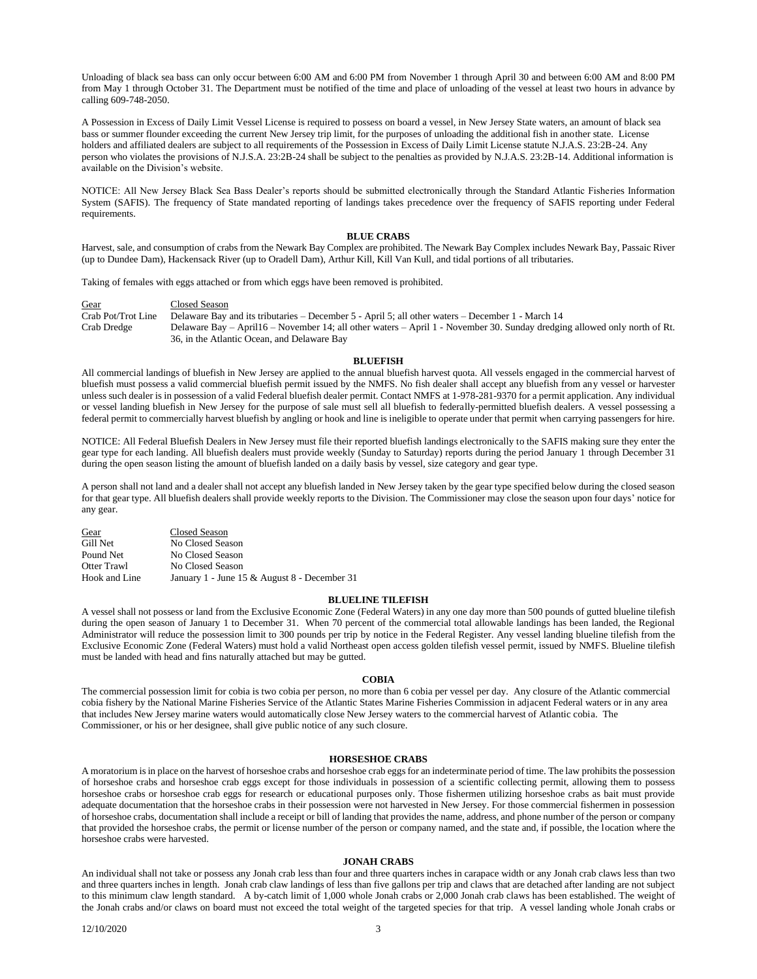Unloading of black sea bass can only occur between 6:00 AM and 6:00 PM from November 1 through April 30 and between 6:00 AM and 8:00 PM from May 1 through October 31. The Department must be notified of the time and place of unloading of the vessel at least two hours in advance by calling 609-748-2050.

A Possession in Excess of Daily Limit Vessel License is required to possess on board a vessel, in New Jersey State waters, an amount of black sea bass or summer flounder exceeding the current New Jersey trip limit, for the purposes of unloading the additional fish in another state. License holders and affiliated dealers are subject to all requirements of the Possession in Excess of Daily Limit License statute N.J.A.S. 23:2B-24. Any person who violates the provisions of N.J.S.A. 23:2B-24 shall be subject to the penalties as provided by N.J.A.S. 23:2B-14. Additional information is available on the Division's website.

NOTICE: All New Jersey Black Sea Bass Dealer's reports should be submitted electronically through the Standard Atlantic Fisheries Information System (SAFIS). The frequency of State mandated reporting of landings takes precedence over the frequency of SAFIS reporting under Federal requirements.

## **BLUE CRABS**

Harvest, sale, and consumption of crabs from the Newark Bay Complex are prohibited. The Newark Bay Complex includes Newark Bay, Passaic River (up to Dundee Dam), Hackensack River (up to Oradell Dam), Arthur Kill, Kill Van Kull, and tidal portions of all tributaries.

Taking of females with eggs attached or from which eggs have been removed is prohibited.

Gear<br>Crab Pot/Trot Line Delaware Bay Delaware Bay and its tributaries – December 5 - April 5; all other waters – December 1 - March 14 Crab Dredge Delaware Bay – April16 – November 14; all other waters – April 1 - November 30. Sunday dredging allowed only north of Rt. 36, in the Atlantic Ocean, and Delaware Bay

#### **BLUEFISH**

All commercial landings of bluefish in New Jersey are applied to the annual bluefish harvest quota. All vessels engaged in the commercial harvest of bluefish must possess a valid commercial bluefish permit issued by the NMFS. No fish dealer shall accept any bluefish from any vessel or harvester unless such dealer is in possession of a valid Federal bluefish dealer permit. Contact NMFS at 1-978-281-9370 for a permit application. Any individual or vessel landing bluefish in New Jersey for the purpose of sale must sell all bluefish to federally-permitted bluefish dealers. A vessel possessing a federal permit to commercially harvest bluefish by angling or hook and line is ineligible to operate under that permit when carrying passengers for hire.

NOTICE: All Federal Bluefish Dealers in New Jersey must file their reported bluefish landings electronically to the SAFIS making sure they enter the gear type for each landing. All bluefish dealers must provide weekly (Sunday to Saturday) reports during the period January 1 through December 31 during the open season listing the amount of bluefish landed on a daily basis by vessel, size category and gear type.

A person shall not land and a dealer shall not accept any bluefish landed in New Jersey taken by the gear type specified below during the closed season for that gear type. All bluefish dealers shall provide weekly reports to the Division. The Commissioner may close the season upon four days' notice for any gear.

| Gear          | Closed Season                                |
|---------------|----------------------------------------------|
| Gill Net      | No Closed Season                             |
| Pound Net     | No Closed Season                             |
| Otter Trawl   | No Closed Season                             |
| Hook and Line | January 1 - June 15 & August 8 - December 31 |

## **BLUELINE TILEFISH**

A vessel shall not possess or land from the Exclusive Economic Zone (Federal Waters) in any one day more than 500 pounds of gutted blueline tilefish during the open season of January 1 to December 31. When 70 percent of the commercial total allowable landings has been landed, the Regional Administrator will reduce the possession limit to 300 pounds per trip by notice in the Federal Register. Any vessel landing blueline tilefish from the Exclusive Economic Zone (Federal Waters) must hold a valid Northeast open access golden tilefish vessel permit, issued by NMFS. Blueline tilefish must be landed with head and fins naturally attached but may be gutted.

#### **COBIA**

The commercial possession limit for cobia is two cobia per person, no more than 6 cobia per vessel per day. Any closure of the Atlantic commercial cobia fishery by the National Marine Fisheries Service of the Atlantic States Marine Fisheries Commission in adjacent Federal waters or in any area that includes New Jersey marine waters would automatically close New Jersey waters to the commercial harvest of Atlantic cobia. The Commissioner, or his or her designee, shall give public notice of any such closure.

## **HORSESHOE CRABS**

A moratorium is in place on the harvest of horseshoe crabs and horseshoe crab eggs for an indeterminate period of time. The law prohibits the possession of horseshoe crabs and horseshoe crab eggs except for those individuals in possession of a scientific collecting permit, allowing them to possess horseshoe crabs or horseshoe crab eggs for research or educational purposes only. Those fishermen utilizing horseshoe crabs as bait must provide adequate documentation that the horseshoe crabs in their possession were not harvested in New Jersey. For those commercial fishermen in possession of horseshoe crabs, documentation shall include a receipt or bill of landing that provides the name, address, and phone number of the person or company that provided the horseshoe crabs, the permit or license number of the person or company named, and the state and, if possible, the location where the horseshoe crabs were harvested.

## **JONAH CRABS**

An individual shall not take or possess any Jonah crab less than four and three quarters inches in carapace width or any Jonah crab claws less than two and three quarters inches in length. Jonah crab claw landings of less than five gallons per trip and claws that are detached after landing are not subject to this minimum claw length standard. A by-catch limit of 1,000 whole Jonah crabs or 2,000 Jonah crab claws has been established. The weight of the Jonah crabs and/or claws on board must not exceed the total weight of the targeted species for that trip. A vessel landing whole Jonah crabs or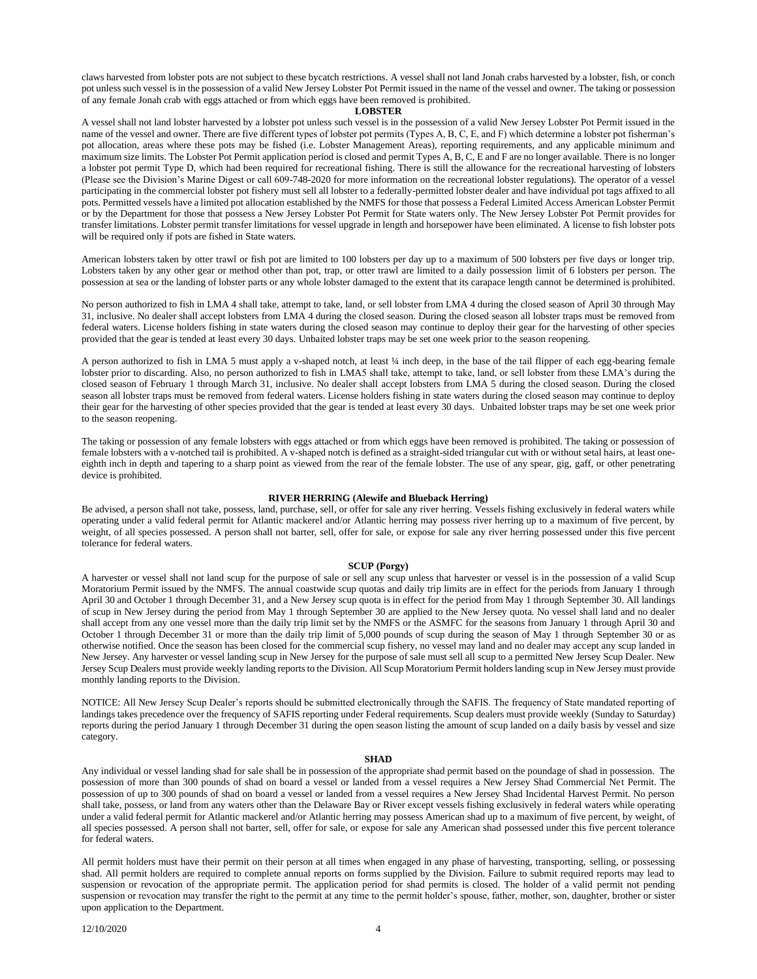claws harvested from lobster pots are not subject to these bycatch restrictions. A vessel shall not land Jonah crabs harvested by a lobster, fish, or conch pot unless such vessel is in the possession of a valid New Jersey Lobster Pot Permit issued in the name of the vessel and owner. The taking or possession of any female Jonah crab with eggs attached or from which eggs have been removed is prohibited.

#### **LOBSTER**

A vessel shall not land lobster harvested by a lobster pot unless such vessel is in the possession of a valid New Jersey Lobster Pot Permit issued in the name of the vessel and owner. There are five different types of lobster pot permits (Types A, B, C, E, and F) which determine a lobster pot fisherman's pot allocation, areas where these pots may be fished (i.e. Lobster Management Areas), reporting requirements, and any applicable minimum and maximum size limits. The Lobster Pot Permit application period is closed and permit Types A, B, C, E and F are no longer available. There is no longer a lobster pot permit Type D, which had been required for recreational fishing. There is still the allowance for the recreational harvesting of lobsters (Please see the Division's Marine Digest or call 609-748-2020 for more information on the recreational lobster regulations). The operator of a vessel participating in the commercial lobster pot fishery must sell all lobster to a federally-permitted lobster dealer and have individual pot tags affixed to all pots. Permitted vessels have a limited pot allocation established by the NMFS for those that possess a Federal Limited Access American Lobster Permit or by the Department for those that possess a New Jersey Lobster Pot Permit for State waters only. The New Jersey Lobster Pot Permit provides for transfer limitations. Lobster permit transfer limitations for vessel upgrade in length and horsepower have been eliminated. A license to fish lobster pots will be required only if pots are fished in State waters.

American lobsters taken by otter trawl or fish pot are limited to 100 lobsters per day up to a maximum of 500 lobsters per five days or longer trip. Lobsters taken by any other gear or method other than pot, trap, or otter trawl are limited to a daily possession limit of 6 lobsters per person. The possession at sea or the landing of lobster parts or any whole lobster damaged to the extent that its carapace length cannot be determined is prohibited.

No person authorized to fish in LMA 4 shall take, attempt to take, land, or sell lobster from LMA 4 during the closed season of April 30 through May 31, inclusive. No dealer shall accept lobsters from LMA 4 during the closed season. During the closed season all lobster traps must be removed from federal waters. License holders fishing in state waters during the closed season may continue to deploy their gear for the harvesting of other species provided that the gear is tended at least every 30 days. Unbaited lobster traps may be set one week prior to the season reopening.

A person authorized to fish in LMA 5 must apply a v-shaped notch, at least ¼ inch deep, in the base of the tail flipper of each egg-bearing female lobster prior to discarding. Also, no person authorized to fish in LMA5 shall take, attempt to take, land, or sell lobster from these LMA's during the closed season of February 1 through March 31, inclusive. No dealer shall accept lobsters from LMA 5 during the closed season. During the closed season all lobster traps must be removed from federal waters. License holders fishing in state waters during the closed season may continue to deploy their gear for the harvesting of other species provided that the gear is tended at least every 30 days. Unbaited lobster traps may be set one week prior to the season reopening.

The taking or possession of any female lobsters with eggs attached or from which eggs have been removed is prohibited. The taking or possession of female lobsters with a v-notched tail is prohibited. A v-shaped notch is defined as a straight-sided triangular cut with or without setal hairs, at least oneeighth inch in depth and tapering to a sharp point as viewed from the rear of the female lobster. The use of any spear, gig, gaff, or other penetrating device is prohibited.

#### **RIVER HERRING (Alewife and Blueback Herring)**

Be advised, a person shall not take, possess, land, purchase, sell, or offer for sale any river herring. Vessels fishing exclusively in federal waters while operating under a valid federal permit for Atlantic mackerel and/or Atlantic herring may possess river herring up to a maximum of five percent, by weight, of all species possessed. A person shall not barter, sell, offer for sale, or expose for sale any river herring possessed under this five percent tolerance for federal waters.

#### **SCUP (Porgy)**

A harvester or vessel shall not land scup for the purpose of sale or sell any scup unless that harvester or vessel is in the possession of a valid Scup Moratorium Permit issued by the NMFS. The annual coastwide scup quotas and daily trip limits are in effect for the periods from January 1 through April 30 and October 1 through December 31, and a New Jersey scup quota is in effect for the period from May 1 through September 30. All landings of scup in New Jersey during the period from May 1 through September 30 are applied to the New Jersey quota. No vessel shall land and no dealer shall accept from any one vessel more than the daily trip limit set by the NMFS or the ASMFC for the seasons from January 1 through April 30 and October 1 through December 31 or more than the daily trip limit of 5,000 pounds of scup during the season of May 1 through September 30 or as otherwise notified. Once the season has been closed for the commercial scup fishery, no vessel may land and no dealer may accept any scup landed in New Jersey. Any harvester or vessel landing scup in New Jersey for the purpose of sale must sell all scup to a permitted New Jersey Scup Dealer. New Jersey Scup Dealers must provide weekly landing reports to the Division. All Scup Moratorium Permit holders landing scup in New Jersey must provide monthly landing reports to the Division.

NOTICE: All New Jersey Scup Dealer's reports should be submitted electronically through the SAFIS. The frequency of State mandated reporting of landings takes precedence over the frequency of SAFIS reporting under Federal requirements. Scup dealers must provide weekly (Sunday to Saturday) reports during the period January 1 through December 31 during the open season listing the amount of scup landed on a daily basis by vessel and size category.

#### **SHAD**

Any individual or vessel landing shad for sale shall be in possession of the appropriate shad permit based on the poundage of shad in possession. The possession of more than 300 pounds of shad on board a vessel or landed from a vessel requires a New Jersey Shad Commercial Net Permit. The possession of up to 300 pounds of shad on board a vessel or landed from a vessel requires a New Jersey Shad Incidental Harvest Permit. No person shall take, possess, or land from any waters other than the Delaware Bay or River except vessels fishing exclusively in federal waters while operating under a valid federal permit for Atlantic mackerel and/or Atlantic herring may possess American shad up to a maximum of five percent, by weight, of all species possessed. A person shall not barter, sell, offer for sale, or expose for sale any American shad possessed under this five percent tolerance for federal waters.

All permit holders must have their permit on their person at all times when engaged in any phase of harvesting, transporting, selling, or possessing shad. All permit holders are required to complete annual reports on forms supplied by the Division. Failure to submit required reports may lead to suspension or revocation of the appropriate permit. The application period for shad permits is closed. The holder of a valid permit not pending suspension or revocation may transfer the right to the permit at any time to the permit holder's spouse, father, mother, son, daughter, brother or sister upon application to the Department.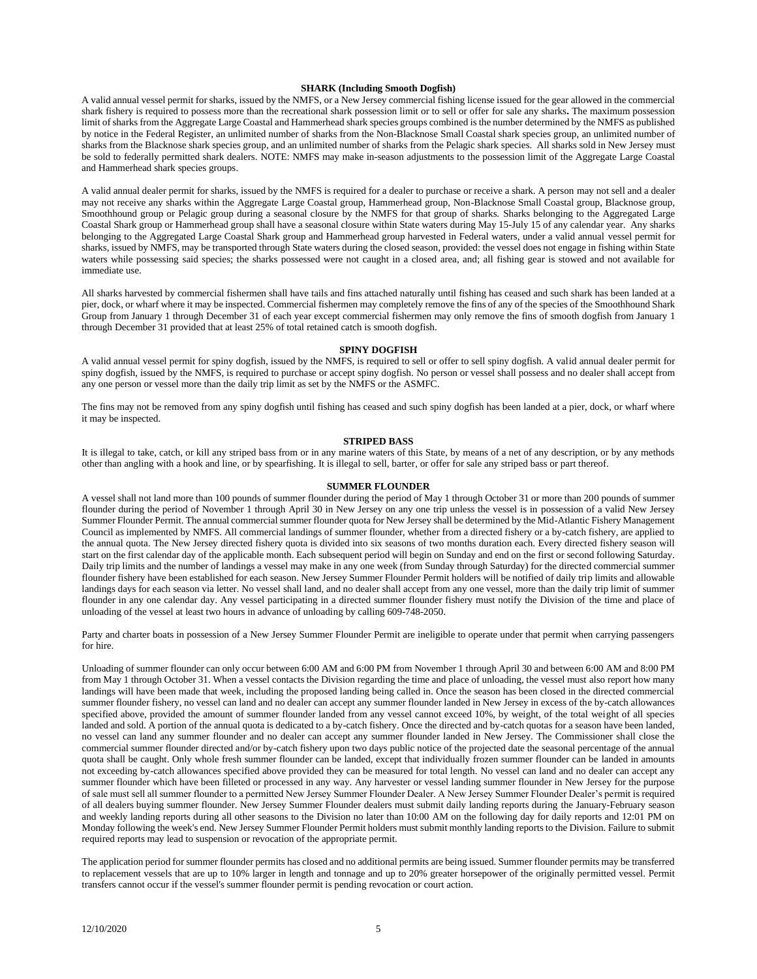## **SHARK (Including Smooth Dogfish)**

A valid annual vessel permit for sharks, issued by the NMFS, or a New Jersey commercial fishing license issued for the gear allowed in the commercial shark fishery is required to possess more than the recreational shark possession limit or to sell or offer for sale any sharks**.** The maximum possession limit ofsharks from the Aggregate Large Coastal and Hammerhead shark species groups combined is the number determined by the NMFS as published by notice in the Federal Register, an unlimited number of sharks from the Non-Blacknose Small Coastal shark species group, an unlimited number of sharks from the Blacknose shark species group, and an unlimited number of sharks from the Pelagic shark species. All sharks sold in New Jersey must be sold to federally permitted shark dealers. NOTE: NMFS may make in-season adjustments to the possession limit of the Aggregate Large Coastal and Hammerhead shark species groups.

A valid annual dealer permit for sharks, issued by the NMFS is required for a dealer to purchase or receive a shark. A person may not sell and a dealer may not receive any sharks within the Aggregate Large Coastal group, Hammerhead group, Non-Blacknose Small Coastal group, Blacknose group, Smoothhound group or Pelagic group during a seasonal closure by the NMFS for that group of sharks. Sharks belonging to the Aggregated Large Coastal Shark group or Hammerhead group shall have a seasonal closure within State waters during May 15-July 15 of any calendar year. Any sharks belonging to the Aggregated Large Coastal Shark group and Hammerhead group harvested in Federal waters, under a valid annual vessel permit for sharks, issued by NMFS, may be transported through State waters during the closed season, provided: the vessel does not engage in fishing within State waters while possessing said species; the sharks possessed were not caught in a closed area, and; all fishing gear is stowed and not available for immediate use.

All sharks harvested by commercial fishermen shall have tails and fins attached naturally until fishing has ceased and such shark has been landed at a pier, dock, or wharf where it may be inspected. Commercial fishermen may completely remove the fins of any of the species of the Smoothhound Shark Group from January 1 through December 31 of each year except commercial fishermen may only remove the fins of smooth dogfish from January 1 through December 31 provided that at least 25% of total retained catch is smooth dogfish.

## **SPINY DOGFISH**

A valid annual vessel permit for spiny dogfish, issued by the NMFS, is required to sell or offer to sell spiny dogfish. A valid annual dealer permit for spiny dogfish, issued by the NMFS, is required to purchase or accept spiny dogfish. No person or vessel shall possess and no dealer shall accept from any one person or vessel more than the daily trip limit as set by the NMFS or the ASMFC.

The fins may not be removed from any spiny dogfish until fishing has ceased and such spiny dogfish has been landed at a pier, dock, or wharf where it may be inspected.

# **STRIPED BASS**

It is illegal to take, catch, or kill any striped bass from or in any marine waters of this State, by means of a net of any description, or by any methods other than angling with a hook and line, or by spearfishing. It is illegal to sell, barter, or offer for sale any striped bass or part thereof.

### **SUMMER FLOUNDER**

A vessel shall not land more than 100 pounds of summer flounder during the period of May 1 through October 31 or more than 200 pounds of summer flounder during the period of November 1 through April 30 in New Jersey on any one trip unless the vessel is in possession of a valid New Jersey Summer Flounder Permit. The annual commercial summer flounder quota for New Jersey shall be determined by the Mid-Atlantic Fishery Management Council as implemented by NMFS. All commercial landings of summer flounder, whether from a directed fishery or a by-catch fishery, are applied to the annual quota. The New Jersey directed fishery quota is divided into six seasons of two months duration each. Every directed fishery season will start on the first calendar day of the applicable month. Each subsequent period will begin on Sunday and end on the first or second following Saturday. Daily trip limits and the number of landings a vessel may make in any one week (from Sunday through Saturday) for the directed commercial summer flounder fishery have been established for each season. New Jersey Summer Flounder Permit holders will be notified of daily trip limits and allowable landings days for each season via letter. No vessel shall land, and no dealer shall accept from any one vessel, more than the daily trip limit of summer flounder in any one calendar day. Any vessel participating in a directed summer flounder fishery must notify the Division of the time and place of unloading of the vessel at least two hours in advance of unloading by calling 609-748-2050.

Party and charter boats in possession of a New Jersey Summer Flounder Permit are ineligible to operate under that permit when carrying passengers for hire.

Unloading of summer flounder can only occur between 6:00 AM and 6:00 PM from November 1 through April 30 and between 6:00 AM and 8:00 PM from May 1 through October 31. When a vessel contacts the Division regarding the time and place of unloading, the vessel must also report how many landings will have been made that week, including the proposed landing being called in. Once the season has been closed in the directed commercial summer flounder fishery, no vessel can land and no dealer can accept any summer flounder landed in New Jersey in excess of the by-catch allowances specified above, provided the amount of summer flounder landed from any vessel cannot exceed 10%, by weight, of the total weight of all species landed and sold. A portion of the annual quota is dedicated to a by-catch fishery. Once the directed and by-catch quotas for a season have been landed, no vessel can land any summer flounder and no dealer can accept any summer flounder landed in New Jersey. The Commissioner shall close the commercial summer flounder directed and/or by-catch fishery upon two days public notice of the projected date the seasonal percentage of the annual quota shall be caught. Only whole fresh summer flounder can be landed, except that individually frozen summer flounder can be landed in amounts not exceeding by-catch allowances specified above provided they can be measured for total length. No vessel can land and no dealer can accept any summer flounder which have been filleted or processed in any way. Any harvester or vessel landing summer flounder in New Jersey for the purpose of sale must sell all summer flounder to a permitted New Jersey Summer Flounder Dealer. A New Jersey Summer Flounder Dealer's permit is required of all dealers buying summer flounder. New Jersey Summer Flounder dealers must submit daily landing reports during the January-February season and weekly landing reports during all other seasons to the Division no later than 10:00 AM on the following day for daily reports and 12:01 PM on Monday following the week's end. New Jersey Summer Flounder Permit holders must submit monthly landing reports to the Division. Failure to submit required reports may lead to suspension or revocation of the appropriate permit.

The application period for summer flounder permits has closed and no additional permits are being issued. Summer flounder permits may be transferred to replacement vessels that are up to 10% larger in length and tonnage and up to 20% greater horsepower of the originally permitted vessel. Permit transfers cannot occur if the vessel's summer flounder permit is pending revocation or court action.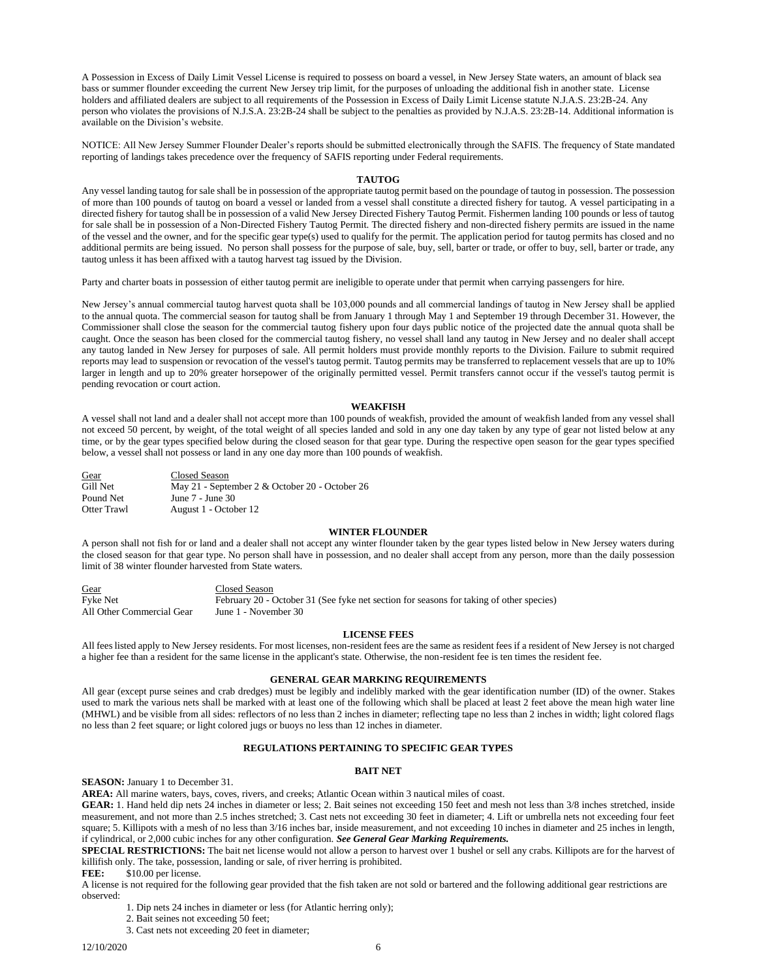A Possession in Excess of Daily Limit Vessel License is required to possess on board a vessel, in New Jersey State waters, an amount of black sea bass or summer flounder exceeding the current New Jersey trip limit, for the purposes of unloading the additional fish in another state. License holders and affiliated dealers are subject to all requirements of the Possession in Excess of Daily Limit License statute N.J.A.S. 23:2B-24. Any person who violates the provisions of N.J.S.A. 23:2B-24 shall be subject to the penalties as provided by N.J.A.S. 23:2B-14. Additional information is available on the Division's website.

NOTICE: All New Jersey Summer Flounder Dealer's reports should be submitted electronically through the SAFIS. The frequency of State mandated reporting of landings takes precedence over the frequency of SAFIS reporting under Federal requirements.

## **TAUTOG**

Any vessel landing tautog for sale shall be in possession of the appropriate tautog permit based on the poundage of tautog in possession. The possession of more than 100 pounds of tautog on board a vessel or landed from a vessel shall constitute a directed fishery for tautog. A vessel participating in a directed fishery for tautog shall be in possession of a valid New Jersey Directed Fishery Tautog Permit. Fishermen landing 100 pounds or less of tautog for sale shall be in possession of a Non-Directed Fishery Tautog Permit. The directed fishery and non-directed fishery permits are issued in the name of the vessel and the owner, and for the specific gear type(s) used to qualify for the permit. The application period for tautog permits has closed and no additional permits are being issued. No person shall possess for the purpose of sale, buy, sell, barter or trade, or offer to buy, sell, barter or trade, any tautog unless it has been affixed with a tautog harvest tag issued by the Division.

Party and charter boats in possession of either tautog permit are ineligible to operate under that permit when carrying passengers for hire.

New Jersey's annual commercial tautog harvest quota shall be 103,000 pounds and all commercial landings of tautog in New Jersey shall be applied to the annual quota. The commercial season for tautog shall be from January 1 through May 1 and September 19 through December 31. However, the Commissioner shall close the season for the commercial tautog fishery upon four days public notice of the projected date the annual quota shall be caught. Once the season has been closed for the commercial tautog fishery, no vessel shall land any tautog in New Jersey and no dealer shall accept any tautog landed in New Jersey for purposes of sale. All permit holders must provide monthly reports to the Division. Failure to submit required reports may lead to suspension or revocation of the vessel's tautog permit. Tautog permits may be transferred to replacement vessels that are up to 10% larger in length and up to 20% greater horsepower of the originally permitted vessel. Permit transfers cannot occur if the vessel's tautog permit is pending revocation or court action.

## **WEAKFISH**

A vessel shall not land and a dealer shall not accept more than 100 pounds of weakfish, provided the amount of weakfish landed from any vessel shall not exceed 50 percent, by weight, of the total weight of all species landed and sold in any one day taken by any type of gear not listed below at any time, or by the gear types specified below during the closed season for that gear type. During the respective open season for the gear types specified below, a vessel shall not possess or land in any one day more than 100 pounds of weakfish.

| Gear        | Closed Season                                  |
|-------------|------------------------------------------------|
| Gill Net    | May 21 - September 2 & October 20 - October 26 |
| Pound Net   | June 7 - June 30                               |
| Otter Trawl | August 1 - October 12                          |

#### **WINTER FLOUNDER**

A person shall not fish for or land and a dealer shall not accept any winter flounder taken by the gear types listed below in New Jersey waters during the closed season for that gear type. No person shall have in possession, and no dealer shall accept from any person, more than the daily possession limit of 38 winter flounder harvested from State waters.

Gear Closed Season Fyke Net February 20 - October 31 (See fyke net section for seasons for taking of other species)<br>All Other Commercial Gear June 1 - November 30 All Other Commercial Gear

## **LICENSE FEES**

All fees listed apply to New Jersey residents. For most licenses, non-resident fees are the same as resident fees if a resident of New Jersey is not charged a higher fee than a resident for the same license in the applicant's state. Otherwise, the non-resident fee is ten times the resident fee.

## **GENERAL GEAR MARKING REQUIREMENTS**

All gear (except purse seines and crab dredges) must be legibly and indelibly marked with the gear identification number (ID) of the owner. Stakes used to mark the various nets shall be marked with at least one of the following which shall be placed at least 2 feet above the mean high water line (MHWL) and be visible from all sides: reflectors of no less than 2 inches in diameter; reflecting tape no less than 2 inches in width; light colored flags no less than 2 feet square; or light colored jugs or buoys no less than 12 inches in diameter.

# **REGULATIONS PERTAINING TO SPECIFIC GEAR TYPES**

## **BAIT NET**

**SEASON:** January 1 to December 31.

**AREA:** All marine waters, bays, coves, rivers, and creeks; Atlantic Ocean within 3 nautical miles of coast.

**GEAR:** 1. Hand held dip nets 24 inches in diameter or less; 2. Bait seines not exceeding 150 feet and mesh not less than 3/8 inches stretched, inside measurement, and not more than 2.5 inches stretched; 3. Cast nets not exceeding 30 feet in diameter; 4. Lift or umbrella nets not exceeding four feet square; 5. Killipots with a mesh of no less than 3/16 inches bar, inside measurement, and not exceeding 10 inches in diameter and 25 inches in length, if cylindrical, or 2,000 cubic inches for any other configuration. *See General Gear Marking Requirements.* 

**SPECIAL RESTRICTIONS:** The bait net license would not allow a person to harvest over 1 bushel or sell any crabs. Killipots are for the harvest of killifish only. The take, possession, landing or sale, of river herring is prohibited.

FEE:  $$10.00$  per license.

A license is not required for the following gear provided that the fish taken are not sold or bartered and the following additional gear restrictions are observed:

- 1. Dip nets 24 inches in diameter or less (for Atlantic herring only);
- 2. Bait seines not exceeding 50 feet;
- 3. Cast nets not exceeding 20 feet in diameter;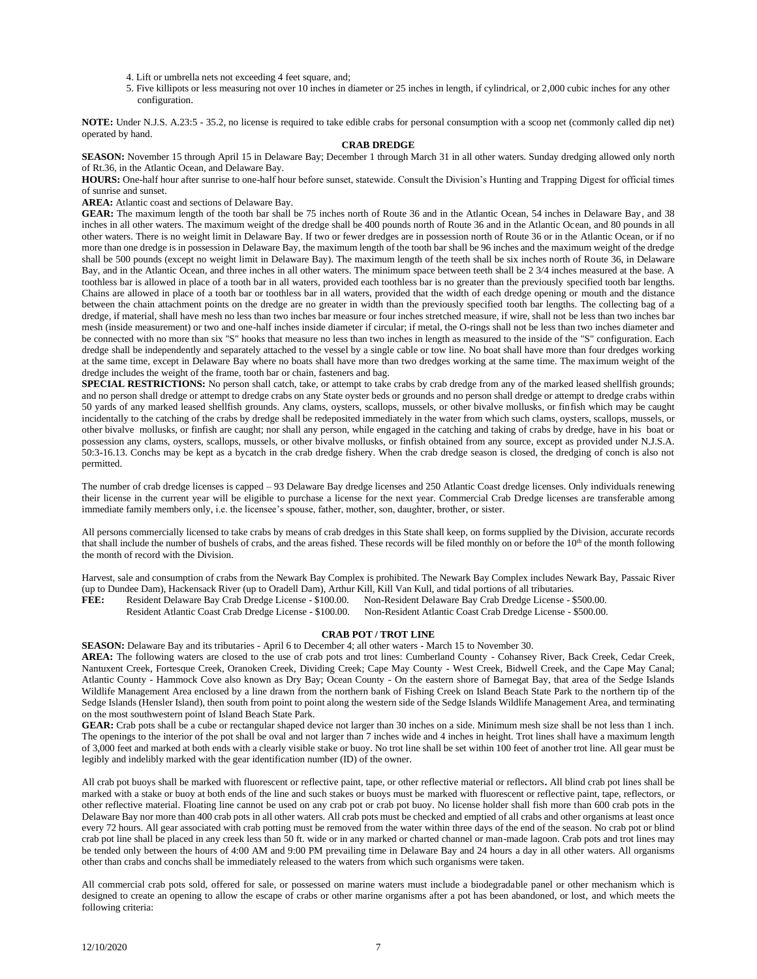- 4. Lift or umbrella nets not exceeding 4 feet square, and;
- 5. Five killipots or less measuring not over 10 inches in diameter or 25 inches in length, if cylindrical, or 2,000 cubic inches for any other configuration.

**NOTE:** Under N.J.S. A.23:5 - 35.2, no license is required to take edible crabs for personal consumption with a scoop net (commonly called dip net) operated by hand.

#### **CRAB DREDGE**

**SEASON:** November 15 through April 15 in Delaware Bay; December 1 through March 31 in all other waters. Sunday dredging allowed only north of Rt.36, in the Atlantic Ocean, and Delaware Bay.

**HOURS:** One-half hour after sunrise to one-half hour before sunset, statewide. Consult the Division's Hunting and Trapping Digest for official times of sunrise and sunset.

**AREA:** Atlantic coast and sections of Delaware Bay.

**GEAR:** The maximum length of the tooth bar shall be 75 inches north of Route 36 and in the Atlantic Ocean, 54 inches in Delaware Bay, and 38 inches in all other waters. The maximum weight of the dredge shall be 400 pounds north of Route 36 and in the Atlantic Ocean, and 80 pounds in all other waters. There is no weight limit in Delaware Bay. If two or fewer dredges are in possession north of Route 36 or in the Atlantic Ocean, or if no more than one dredge is in possession in Delaware Bay, the maximum length of the tooth bar shall be 96 inches and the maximum weight of the dredge shall be 500 pounds (except no weight limit in Delaware Bay). The maximum length of the teeth shall be six inches north of Route 36, in Delaware Bay, and in the Atlantic Ocean, and three inches in all other waters. The minimum space between teeth shall be 2 3/4 inches measured at the base. A toothless bar is allowed in place of a tooth bar in all waters, provided each toothless bar is no greater than the previously specified tooth bar lengths. Chains are allowed in place of a tooth bar or toothless bar in all waters, provided that the width of each dredge opening or mouth and the distance between the chain attachment points on the dredge are no greater in width than the previously specified tooth bar lengths. The collecting bag of a dredge, if material, shall have mesh no less than two inches bar measure or four inches stretched measure, if wire, shall not be less than two inches bar mesh (inside measurement) or two and one-half inches inside diameter if circular; if metal, the O-rings shall not be less than two inches diameter and be connected with no more than six "S" hooks that measure no less than two inches in length as measured to the inside of the "S" configuration. Each dredge shall be independently and separately attached to the vessel by a single cable or tow line. No boat shall have more than four dredges working at the same time, except in Delaware Bay where no boats shall have more than two dredges working at the same time. The maximum weight of the dredge includes the weight of the frame, tooth bar or chain, fasteners and bag.

**SPECIAL RESTRICTIONS:** No person shall catch, take, or attempt to take crabs by crab dredge from any of the marked leased shellfish grounds; and no person shall dredge or attempt to dredge crabs on any State oyster beds or grounds and no person shall dredge or attempt to dredge crabs within 50 yards of any marked leased shellfish grounds. Any clams, oysters, scallops, mussels, or other bivalve mollusks, or finfish which may be caught incidentally to the catching of the crabs by dredge shall be redeposited immediately in the water from which such clams, oysters, scallops, mussels, or other bivalve mollusks, or finfish are caught; nor shall any person, while engaged in the catching and taking of crabs by dredge, have in his boat or possession any clams, oysters, scallops, mussels, or other bivalve mollusks, or finfish obtained from any source, except as provided under N.J.S.A. 50:3-16.13. Conchs may be kept as a bycatch in the crab dredge fishery. When the crab dredge season is closed, the dredging of conch is also not permitted.

The number of crab dredge licenses is capped – 93 Delaware Bay dredge licenses and 250 Atlantic Coast dredge licenses. Only individuals renewing their license in the current year will be eligible to purchase a license for the next year. Commercial Crab Dredge licenses are transferable among immediate family members only, i.e. the licensee's spouse, father, mother, son, daughter, brother, or sister.

All persons commercially licensed to take crabs by means of crab dredges in this State shall keep, on forms supplied by the Division, accurate records that shall include the number of bushels of crabs, and the areas fished. These records will be filed monthly on or before the  $10<sup>th</sup>$  of the month following the month of record with the Division.

Harvest, sale and consumption of crabs from the Newark Bay Complex is prohibited. The Newark Bay Complex includes Newark Bay, Passaic River (up to Dundee Dam), Hackensack River (up to Oradell Dam), Arthur Kill, Kill Van Kull, and tidal portions of all tributaries.

**FEE:** Resident Delaware Bay Crab Dredge License - \$100.00. Non-Resident Delaware Bay Crab Dredge License - \$500.00.

Resident Atlantic Coast Crab Dredge License - \$100.00. Non-Resident Atlantic Coast Crab Dredge License - \$500.00.

#### **CRAB POT / TROT LINE**

**SEASON:** Delaware Bay and its tributaries - April 6 to December 4; all other waters - March 15 to November 30.

**AREA:** The following waters are closed to the use of crab pots and trot lines: Cumberland County - Cohansey River, Back Creek, Cedar Creek, Nantuxent Creek, Fortesque Creek, Oranoken Creek, Dividing Creek; Cape May County - West Creek, Bidwell Creek, and the Cape May Canal; Atlantic County - Hammock Cove also known as Dry Bay; Ocean County - On the eastern shore of Barnegat Bay, that area of the Sedge Islands Wildlife Management Area enclosed by a line drawn from the northern bank of Fishing Creek on Island Beach State Park to the northern tip of the Sedge Islands (Hensler Island), then south from point to point along the western side of the Sedge Islands Wildlife Management Area, and terminating on the most southwestern point of Island Beach State Park.

**GEAR:** Crab pots shall be a cube or rectangular shaped device not larger than 30 inches on a side. Minimum mesh size shall be not less than 1 inch. The openings to the interior of the pot shall be oval and not larger than 7 inches wide and 4 inches in height. Trot lines shall have a maximum length of 3,000 feet and marked at both ends with a clearly visible stake or buoy. No trot line shall be set within 100 feet of another trot line. All gear must be legibly and indelibly marked with the gear identification number (ID) of the owner.

All crab pot buoys shall be marked with fluorescent or reflective paint, tape, or other reflective material or reflectors**.** All blind crab pot lines shall be marked with a stake or buoy at both ends of the line and such stakes or buoys must be marked with fluorescent or reflective paint, tape, reflectors, or other reflective material. Floating line cannot be used on any crab pot or crab pot buoy. No license holder shall fish more than 600 crab pots in the Delaware Bay nor more than 400 crab pots in all other waters. All crab pots must be checked and emptied of all crabs and other organisms at least once every 72 hours. All gear associated with crab potting must be removed from the water within three days of the end of the season. No crab pot or blind crab pot line shall be placed in any creek less than 50 ft. wide or in any marked or charted channel or man-made lagoon. Crab pots and trot lines may be tended only between the hours of 4:00 AM and 9:00 PM prevailing time in Delaware Bay and 24 hours a day in all other waters. All organisms other than crabs and conchs shall be immediately released to the waters from which such organisms were taken.

All commercial crab pots sold, offered for sale, or possessed on marine waters must include a biodegradable panel or other mechanism which is designed to create an opening to allow the escape of crabs or other marine organisms after a pot has been abandoned, or lost, and which meets the following criteria: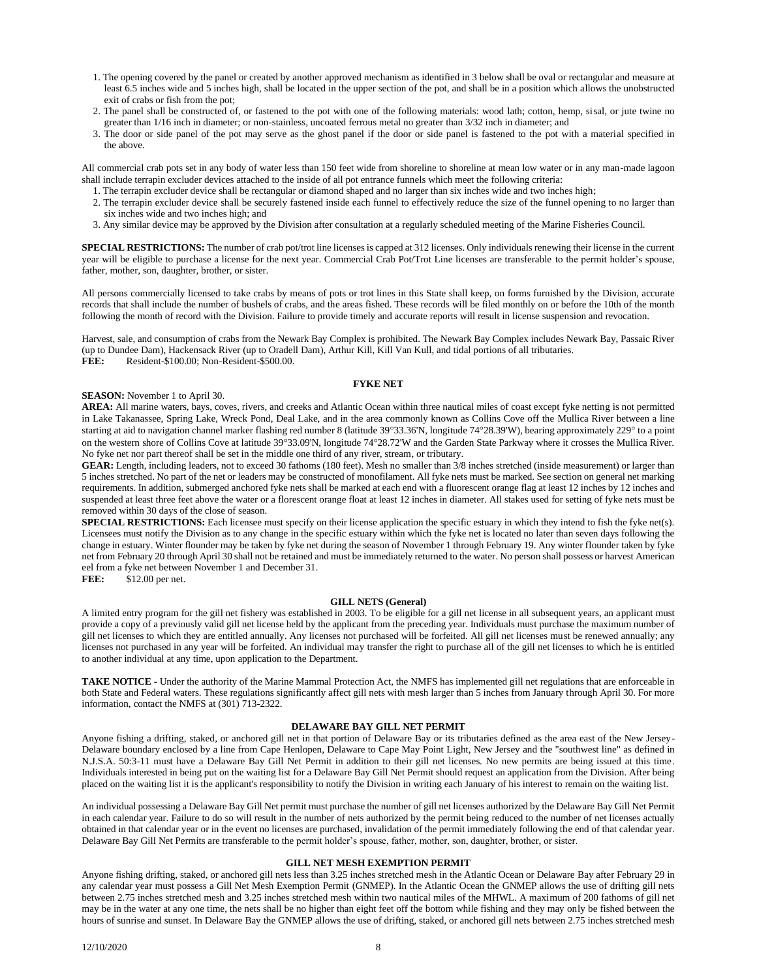- 1. The opening covered by the panel or created by another approved mechanism as identified in 3 below shall be oval or rectangular and measure at least 6.5 inches wide and 5 inches high, shall be located in the upper section of the pot, and shall be in a position which allows the unobstructed exit of crabs or fish from the pot;
- 2. The panel shall be constructed of, or fastened to the pot with one of the following materials: wood lath; cotton, hemp, sisal, or jute twine no greater than 1/16 inch in diameter; or non-stainless, uncoated ferrous metal no greater than 3/32 inch in diameter; and
- 3. The door or side panel of the pot may serve as the ghost panel if the door or side panel is fastened to the pot with a material specified in the above.

All commercial crab pots set in any body of water less than 150 feet wide from shoreline to shoreline at mean low water or in any man-made lagoon shall include terrapin excluder devices attached to the inside of all pot entrance funnels which meet the following criteria:

- 1. The terrapin excluder device shall be rectangular or diamond shaped and no larger than six inches wide and two inches high;
- 2. The terrapin excluder device shall be securely fastened inside each funnel to effectively reduce the size of the funnel opening to no larger than six inches wide and two inches high; and
- 3. Any similar device may be approved by the Division after consultation at a regularly scheduled meeting of the Marine Fisheries Council.

**SPECIAL RESTRICTIONS:** The number of crab pot/trot line licenses is capped at 312 licenses. Only individuals renewing their license in the current year will be eligible to purchase a license for the next year. Commercial Crab Pot/Trot Line licenses are transferable to the permit holder's spouse, father, mother, son, daughter, brother, or sister.

All persons commercially licensed to take crabs by means of pots or trot lines in this State shall keep, on forms furnished by the Division, accurate records that shall include the number of bushels of crabs, and the areas fished. These records will be filed monthly on or before the 10th of the month following the month of record with the Division. Failure to provide timely and accurate reports will result in license suspension and revocation.

Harvest, sale, and consumption of crabs from the Newark Bay Complex is prohibited. The Newark Bay Complex includes Newark Bay, Passaic River (up to Dundee Dam), Hackensack River (up to Oradell Dam), Arthur Kill, Kill Van Kull, and tidal portions of all tributaries.

**FEE:** Resident-\$100.00; Non-Resident-\$500.00.

## **FYKE NET**

## **SEASON:** November 1 to April 30.

**AREA:** All marine waters, bays, coves, rivers, and creeks and Atlantic Ocean within three nautical miles of coast except fyke netting is not permitted in Lake Takanassee, Spring Lake, Wreck Pond, Deal Lake, and in the area commonly known as Collins Cove off the Mullica River between a line starting at aid to navigation channel marker flashing red number 8 (latitude 39°33.36'N, longitude 74°28.39'W), bearing approximately 229° to a point on the western shore of Collins Cove at latitude 39°33.09'N, longitude 74°28.72'W and the Garden State Parkway where it crosses the Mullica River. No fyke net nor part thereof shall be set in the middle one third of any river, stream, or tributary.

**GEAR:** Length, including leaders, not to exceed 30 fathoms (180 feet). Mesh no smaller than 3/8 inches stretched (inside measurement) or larger than 5 inches stretched. No part of the net or leaders may be constructed of monofilament. All fyke nets must be marked. See section on general net marking requirements. In addition, submerged anchored fyke nets shall be marked at each end with a fluorescent orange flag at least 12 inches by 12 inches and suspended at least three feet above the water or a florescent orange float at least 12 inches in diameter. All stakes used for setting of fyke nets must be removed within 30 days of the close of season.

**SPECIAL RESTRICTIONS:** Each licensee must specify on their license application the specific estuary in which they intend to fish the fyke net(s). Licensees must notify the Division as to any change in the specific estuary within which the fyke net is located no later than seven days following the change in estuary. Winter flounder may be taken by fyke net during the season of November 1 through February 19. Any winter flounder taken by fyke net from February 20 through April 30 shall not be retained and must be immediately returned to the water. No person shall possess or harvest American eel from a fyke net between November 1 and December 31.

**FEE:** \$12.00 per net.

## **GILL NETS (General)**

A limited entry program for the gill net fishery was established in 2003. To be eligible for a gill net license in all subsequent years, an applicant must provide a copy of a previously valid gill net license held by the applicant from the preceding year. Individuals must purchase the maximum number of gill net licenses to which they are entitled annually. Any licenses not purchased will be forfeited. All gill net licenses must be renewed annually; any licenses not purchased in any year will be forfeited. An individual may transfer the right to purchase all of the gill net licenses to which he is entitled to another individual at any time, upon application to the Department.

**TAKE NOTICE -** Under the authority of the Marine Mammal Protection Act, the NMFS has implemented gill net regulations that are enforceable in both State and Federal waters. These regulations significantly affect gill nets with mesh larger than 5 inches from January through April 30. For more information, contact the NMFS at (301) 713-2322.

## **DELAWARE BAY GILL NET PERMIT**

Anyone fishing a drifting, staked, or anchored gill net in that portion of Delaware Bay or its tributaries defined as the area east of the New Jersey-Delaware boundary enclosed by a line from Cape Henlopen, Delaware to Cape May Point Light, New Jersey and the "southwest line" as defined in N.J.S.A. 50:3-11 must have a Delaware Bay Gill Net Permit in addition to their gill net licenses. No new permits are being issued at this time. Individuals interested in being put on the waiting list for a Delaware Bay Gill Net Permit should request an application from the Division. After being placed on the waiting list it is the applicant's responsibility to notify the Division in writing each January of his interest to remain on the waiting list.

An individual possessing a Delaware Bay Gill Net permit must purchase the number of gill net licenses authorized by the Delaware Bay Gill Net Permit in each calendar year. Failure to do so will result in the number of nets authorized by the permit being reduced to the number of net licenses actually obtained in that calendar year or in the event no licenses are purchased, invalidation of the permit immediately following the end of that calendar year. Delaware Bay Gill Net Permits are transferable to the permit holder's spouse, father, mother, son, daughter, brother, or sister.

## **GILL NET MESH EXEMPTION PERMIT**

Anyone fishing drifting, staked, or anchored gill nets less than 3.25 inches stretched mesh in the Atlantic Ocean or Delaware Bay after February 29 in any calendar year must possess a Gill Net Mesh Exemption Permit (GNMEP). In the Atlantic Ocean the GNMEP allows the use of drifting gill nets between 2.75 inches stretched mesh and 3.25 inches stretched mesh within two nautical miles of the MHWL. A maximum of 200 fathoms of gill net may be in the water at any one time, the nets shall be no higher than eight feet off the bottom while fishing and they may only be fished between the hours of sunrise and sunset. In Delaware Bay the GNMEP allows the use of drifting, staked, or anchored gill nets between 2.75 inches stretched mesh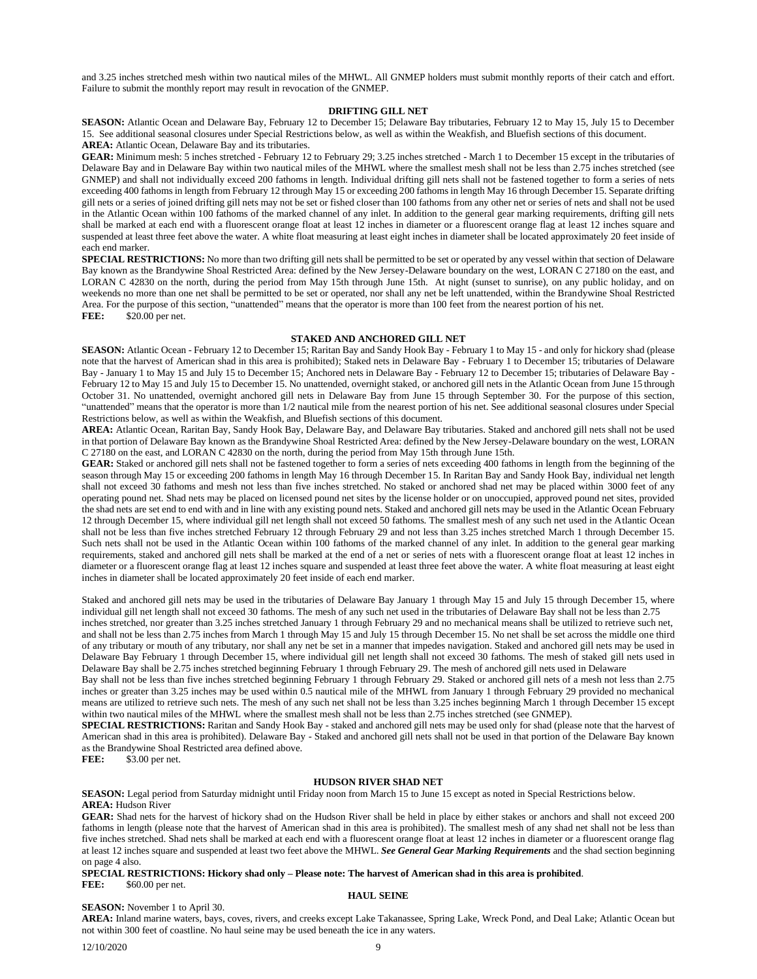and 3.25 inches stretched mesh within two nautical miles of the MHWL. All GNMEP holders must submit monthly reports of their catch and effort. Failure to submit the monthly report may result in revocation of the GNMEP.

## **DRIFTING GILL NET**

**SEASON:** Atlantic Ocean and Delaware Bay, February 12 to December 15; Delaware Bay tributaries, February 12 to May 15, July 15 to December 15. See additional seasonal closures under Special Restrictions below, as well as within the Weakfish, and Bluefish sections of this document. **AREA:** Atlantic Ocean, Delaware Bay and its tributaries.

**GEAR:** Minimum mesh: 5 inches stretched - February 12 to February 29; 3.25 inches stretched - March 1 to December 15 except in the tributaries of Delaware Bay and in Delaware Bay within two nautical miles of the MHWL where the smallest mesh shall not be less than 2.75 inches stretched (see GNMEP) and shall not individually exceed 200 fathoms in length. Individual drifting gill nets shall not be fastened together to form a series of nets exceeding 400 fathoms in length from February 12 through May 15 or exceeding 200 fathoms in length May 16 through December 15. Separate drifting gill nets or a series of joined drifting gill nets may not be set or fished closer than 100 fathoms from any other net or series of nets and shall not be used in the Atlantic Ocean within 100 fathoms of the marked channel of any inlet. In addition to the general gear marking requirements, drifting gill nets shall be marked at each end with a fluorescent orange float at least 12 inches in diameter or a fluorescent orange flag at least 12 inches square and suspended at least three feet above the water. A white float measuring at least eight inches in diameter shall be located approximately 20 feet inside of each end marker.

**SPECIAL RESTRICTIONS:** No more than two drifting gill nets shall be permitted to be set or operated by any vessel within that section of Delaware Bay known as the Brandywine Shoal Restricted Area: defined by the New Jersey-Delaware boundary on the west, LORAN C 27180 on the east, and LORAN C 42830 on the north, during the period from May 15th through June 15th. At night (sunset to sunrise), on any public holiday, and on weekends no more than one net shall be permitted to be set or operated, nor shall any net be left unattended, within the Brandywine Shoal Restricted Area. For the purpose of this section, "unattended" means that the operator is more than 100 feet from the nearest portion of his net. **FEE:** \$20.00 per net.

# **STAKED AND ANCHORED GILL NET**

**SEASON:** Atlantic Ocean - February 12 to December 15; Raritan Bay and Sandy Hook Bay - February 1 to May 15 - and only for hickory shad (please note that the harvest of American shad in this area is prohibited); Staked nets in Delaware Bay - February 1 to December 15; tributaries of Delaware Bay - January 1 to May 15 and July 15 to December 15; Anchored nets in Delaware Bay - February 12 to December 15; tributaries of Delaware Bay - February 12 to May 15 and July 15 to December 15. No unattended, overnight staked, or anchored gill nets in the Atlantic Ocean from June 15 through October 31. No unattended, overnight anchored gill nets in Delaware Bay from June 15 through September 30. For the purpose of this section, "unattended" means that the operator is more than 1/2 nautical mile from the nearest portion of his net. See additional seasonal closures under Special Restrictions below, as well as within the Weakfish, and Bluefish sections of this document.

**AREA:** Atlantic Ocean, Raritan Bay, Sandy Hook Bay, Delaware Bay, and Delaware Bay tributaries. Staked and anchored gill nets shall not be used in that portion of Delaware Bay known as the Brandywine Shoal Restricted Area: defined by the New Jersey-Delaware boundary on the west, LORAN C 27180 on the east, and LORAN C 42830 on the north, during the period from May 15th through June 15th.

GEAR: Staked or anchored gill nets shall not be fastened together to form a series of nets exceeding 400 fathoms in length from the beginning of the season through May 15 or exceeding 200 fathoms in length May 16 through December 15. In Raritan Bay and Sandy Hook Bay, individual net length shall not exceed 30 fathoms and mesh not less than five inches stretched. No staked or anchored shad net may be placed within 3000 feet of any operating pound net. Shad nets may be placed on licensed pound net sites by the license holder or on unoccupied, approved pound net sites, provided the shad nets are set end to end with and in line with any existing pound nets. Staked and anchored gill nets may be used in the Atlantic Ocean February 12 through December 15, where individual gill net length shall not exceed 50 fathoms. The smallest mesh of any such net used in the Atlantic Ocean shall not be less than five inches stretched February 12 through February 29 and not less than 3.25 inches stretched March 1 through December 15. Such nets shall not be used in the Atlantic Ocean within 100 fathoms of the marked channel of any inlet. In addition to the general gear marking requirements, staked and anchored gill nets shall be marked at the end of a net or series of nets with a fluorescent orange float at least 12 inches in diameter or a fluorescent orange flag at least 12 inches square and suspended at least three feet above the water. A white float measuring at least eight inches in diameter shall be located approximately 20 feet inside of each end marker.

Staked and anchored gill nets may be used in the tributaries of Delaware Bay January 1 through May 15 and July 15 through December 15, where individual gill net length shall not exceed 30 fathoms. The mesh of any such net used in the tributaries of Delaware Bay shall not be less than 2.75

inches stretched, nor greater than 3.25 inches stretched January 1 through February 29 and no mechanical means shall be utilized to retrieve such net, and shall not be less than 2.75 inches from March 1 through May 15 and July 15 through December 15. No net shall be set across the middle one third of any tributary or mouth of any tributary, nor shall any net be set in a manner that impedes navigation. Staked and anchored gill nets may be used in Delaware Bay February 1 through December 15, where individual gill net length shall not exceed 30 fathoms. The mesh of staked gill nets used in Delaware Bay shall be 2.75 inches stretched beginning February 1 through February 29. The mesh of anchored gill nets used in Delaware

Bay shall not be less than five inches stretched beginning February 1 through February 29. Staked or anchored gill nets of a mesh not less than 2.75 inches or greater than 3.25 inches may be used within 0.5 nautical mile of the MHWL from January 1 through February 29 provided no mechanical means are utilized to retrieve such nets. The mesh of any such net shall not be less than 3.25 inches beginning March 1 through December 15 except within two nautical miles of the MHWL where the smallest mesh shall not be less than 2.75 inches stretched (see GNMEP).

**SPECIAL RESTRICTIONS:** Raritan and Sandy Hook Bay - staked and anchored gill nets may be used only for shad (please note that the harvest of American shad in this area is prohibited). Delaware Bay - Staked and anchored gill nets shall not be used in that portion of the Delaware Bay known as the Brandywine Shoal Restricted area defined above.

**FEE:** \$3.00 per net.

## **HUDSON RIVER SHAD NET**

**SEASON:** Legal period from Saturday midnight until Friday noon from March 15 to June 15 except as noted in Special Restrictions below. **AREA:** Hudson River

**GEAR:** Shad nets for the harvest of hickory shad on the Hudson River shall be held in place by either stakes or anchors and shall not exceed 200 fathoms in length (please note that the harvest of American shad in this area is prohibited). The smallest mesh of any shad net shall not be less than five inches stretched. Shad nets shall be marked at each end with a fluorescent orange float at least 12 inches in diameter or a fluorescent orange flag at least 12 inches square and suspended at least two feet above the MHWL. *See General Gear Marking Requirements* and the shad section beginning on page 4 also.

**SPECIAL RESTRICTIONS: Hickory shad only – Please note: The harvest of American shad in this area is prohibited**. **FEE:** \$60.00 per net.

## **SEASON:** November 1 to April 30.

# **HAUL SEINE**

**AREA:** Inland marine waters, bays, coves, rivers, and creeks except Lake Takanassee, Spring Lake, Wreck Pond, and Deal Lake; Atlantic Ocean but not within 300 feet of coastline. No haul seine may be used beneath the ice in any waters.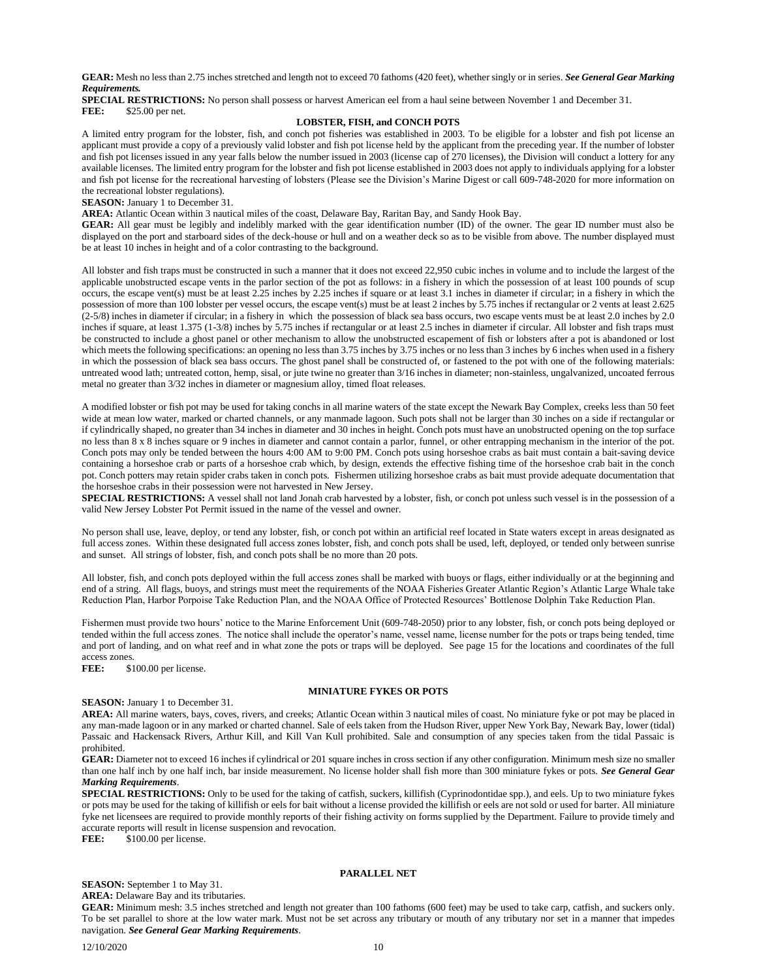**GEAR:** Mesh no less than 2.75 inches stretched and length not to exceed 70 fathoms (420 feet), whether singly or in series. *See General Gear Marking Requirements.* 

**SPECIAL RESTRICTIONS:** No person shall possess or harvest American eel from a haul seine between November 1 and December 31. **FEE:** \$25.00 per net.

# **LOBSTER, FISH, and CONCH POTS**

A limited entry program for the lobster, fish, and conch pot fisheries was established in 2003. To be eligible for a lobster and fish pot license an applicant must provide a copy of a previously valid lobster and fish pot license held by the applicant from the preceding year. If the number of lobster and fish pot licenses issued in any year falls below the number issued in 2003 (license cap of 270 licenses), the Division will conduct a lottery for any available licenses. The limited entry program for the lobster and fish pot license established in 2003 does not apply to individuals applying for a lobster and fish pot license for the recreational harvesting of lobsters (Please see the Division's Marine Digest or call 609-748-2020 for more information on the recreational lobster regulations).

**SEASON:** January 1 to December 31.

**AREA:** Atlantic Ocean within 3 nautical miles of the coast, Delaware Bay, Raritan Bay, and Sandy Hook Bay.

**GEAR:** All gear must be legibly and indelibly marked with the gear identification number (ID) of the owner. The gear ID number must also be displayed on the port and starboard sides of the deck-house or hull and on a weather deck so as to be visible from above. The number displayed must be at least 10 inches in height and of a color contrasting to the background.

All lobster and fish traps must be constructed in such a manner that it does not exceed 22,950 cubic inches in volume and to include the largest of the applicable unobstructed escape vents in the parlor section of the pot as follows: in a fishery in which the possession of at least 100 pounds of scup occurs, the escape vent(s) must be at least 2.25 inches by 2.25 inches if square or at least 3.1 inches in diameter if circular; in a fishery in which the possession of more than 100 lobster per vessel occurs, the escape vent(s) must be at least 2 inches by 5.75 inches if rectangular or 2 vents at least 2.625 (2-5/8) inches in diameter if circular; in a fishery in which the possession of black sea bass occurs, two escape vents must be at least 2.0 inches by 2.0 inches if square, at least 1.375 (1-3/8) inches by 5.75 inches if rectangular or at least 2.5 inches in diameter if circular. All lobster and fish traps must be constructed to include a ghost panel or other mechanism to allow the unobstructed escapement of fish or lobsters after a pot is abandoned or lost which meets the following specifications: an opening no less than 3.75 inches by 3.75 inches or no less than 3 inches by 6 inches when used in a fishery in which the possession of black sea bass occurs. The ghost panel shall be constructed of, or fastened to the pot with one of the following materials: untreated wood lath; untreated cotton, hemp, sisal, or jute twine no greater than 3/16 inches in diameter; non-stainless, ungalvanized, uncoated ferrous metal no greater than 3/32 inches in diameter or magnesium alloy, timed float releases.

A modified lobster or fish pot may be used for taking conchs in all marine waters of the state except the Newark Bay Complex, creeks less than 50 feet wide at mean low water, marked or charted channels, or any manmade lagoon. Such pots shall not be larger than 30 inches on a side if rectangular or if cylindrically shaped, no greater than 34 inches in diameter and 30 inches in height. Conch pots must have an unobstructed opening on the top surface no less than 8 x 8 inches square or 9 inches in diameter and cannot contain a parlor, funnel, or other entrapping mechanism in the interior of the pot. Conch pots may only be tended between the hours 4:00 AM to 9:00 PM. Conch pots using horseshoe crabs as bait must contain a bait-saving device containing a horseshoe crab or parts of a horseshoe crab which, by design, extends the effective fishing time of the horseshoe crab bait in the conch pot. Conch potters may retain spider crabs taken in conch pots. Fishermen utilizing horseshoe crabs as bait must provide adequate documentation that the horseshoe crabs in their possession were not harvested in New Jersey.

**SPECIAL RESTRICTIONS:** A vessel shall not land Jonah crab harvested by a lobster, fish, or conch pot unless such vessel is in the possession of a valid New Jersey Lobster Pot Permit issued in the name of the vessel and owner.

No person shall use, leave, deploy, or tend any lobster, fish, or conch pot within an artificial reef located in State waters except in areas designated as full access zones. Within these designated full access zones lobster, fish, and conch pots shall be used, left, deployed, or tended only between sunrise and sunset. All strings of lobster, fish, and conch pots shall be no more than 20 pots.

All lobster, fish, and conch pots deployed within the full access zones shall be marked with buoys or flags, either individually or at the beginning and end of a string. All flags, buoys, and strings must meet the requirements of the NOAA Fisheries Greater Atlantic Region's Atlantic Large Whale take Reduction Plan, Harbor Porpoise Take Reduction Plan, and the NOAA Office of Protected Resources' Bottlenose Dolphin Take Reduction Plan.

Fishermen must provide two hours' notice to the Marine Enforcement Unit (609-748-2050) prior to any lobster, fish, or conch pots being deployed or tended within the full access zones. The notice shall include the operator's name, vessel name, license number for the pots or traps being tended, time and port of landing, and on what reef and in what zone the pots or traps will be deployed. See page 15 for the locations and coordinates of the full access zones.

FEE: \$100.00 per license.

## **MINIATURE FYKES OR POTS**

## **SEASON:** January 1 to December 31.

**AREA:** All marine waters, bays, coves, rivers, and creeks; Atlantic Ocean within 3 nautical miles of coast. No miniature fyke or pot may be placed in any man-made lagoon or in any marked or charted channel. Sale of eels taken from the Hudson River, upper New York Bay, Newark Bay, lower (tidal) Passaic and Hackensack Rivers, Arthur Kill, and Kill Van Kull prohibited. Sale and consumption of any species taken from the tidal Passaic is prohibited.

**GEAR:** Diameter not to exceed 16 inches if cylindrical or 201 square inches in cross section if any other configuration. Minimum mesh size no smaller than one half inch by one half inch, bar inside measurement. No license holder shall fish more than 300 miniature fykes or pots. *See General Gear Marking Requirements*.

**SPECIAL RESTRICTIONS:** Only to be used for the taking of catfish, suckers, killifish (Cyprinodontidae spp.), and eels. Up to two miniature fykes or pots may be used for the taking of killifish or eels for bait without a license provided the killifish or eels are not sold or used for barter. All miniature fyke net licensees are required to provide monthly reports of their fishing activity on forms supplied by the Department. Failure to provide timely and accurate reports will result in license suspension and revocation.

FEE:  $$100.00$  per license.

# **PARALLEL NET**

# **SEASON:** September 1 to May 31.

**AREA:** Delaware Bay and its tributaries.

**GEAR:** Minimum mesh: 3.5 inches stretched and length not greater than 100 fathoms (600 feet) may be used to take carp, catfish, and suckers only. To be set parallel to shore at the low water mark. Must not be set across any tributary or mouth of any tributary nor set in a manner that impedes navigation. *See General Gear Marking Requirements*.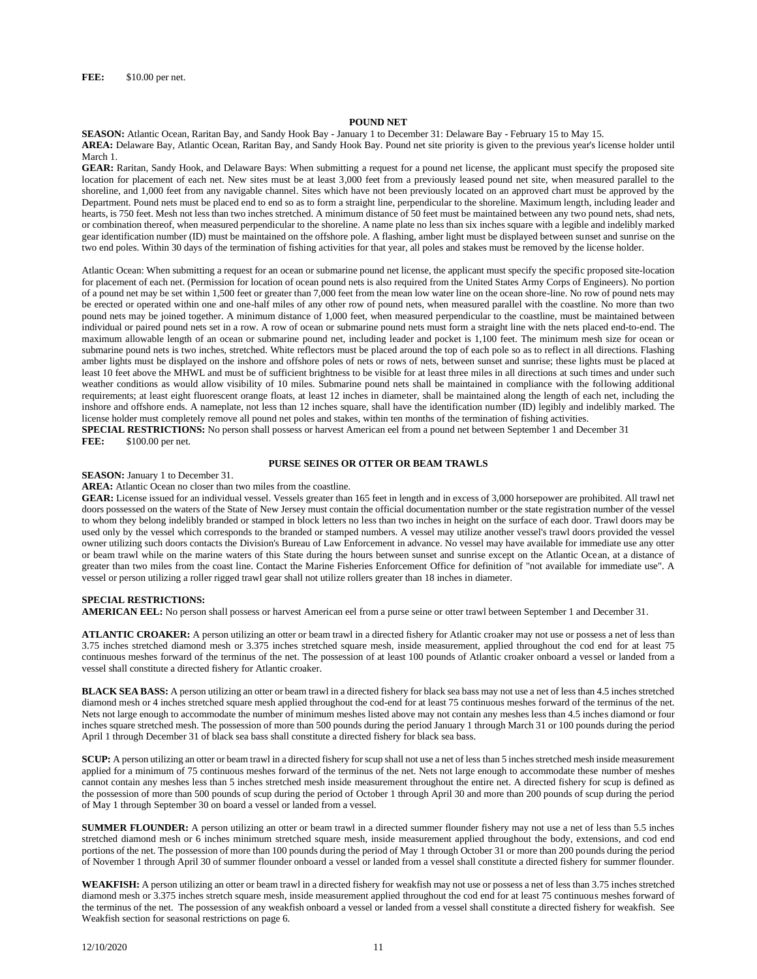## **POUND NET**

**SEASON:** Atlantic Ocean, Raritan Bay, and Sandy Hook Bay - January 1 to December 31: Delaware Bay - February 15 to May 15. **AREA:** Delaware Bay, Atlantic Ocean, Raritan Bay, and Sandy Hook Bay. Pound net site priority is given to the previous year's license holder until March 1.

**GEAR:** Raritan, Sandy Hook, and Delaware Bays: When submitting a request for a pound net license, the applicant must specify the proposed site location for placement of each net. New sites must be at least 3,000 feet from a previously leased pound net site, when measured parallel to the shoreline, and 1,000 feet from any navigable channel. Sites which have not been previously located on an approved chart must be approved by the Department. Pound nets must be placed end to end so as to form a straight line, perpendicular to the shoreline. Maximum length, including leader and hearts, is 750 feet. Mesh not less than two inches stretched. A minimum distance of 50 feet must be maintained between any two pound nets, shad nets, or combination thereof, when measured perpendicular to the shoreline. A name plate no less than six inches square with a legible and indelibly marked gear identification number (ID) must be maintained on the offshore pole. A flashing, amber light must be displayed between sunset and sunrise on the two end poles. Within 30 days of the termination of fishing activities for that year, all poles and stakes must be removed by the license holder.

Atlantic Ocean: When submitting a request for an ocean or submarine pound net license, the applicant must specify the specific proposed site-location for placement of each net. (Permission for location of ocean pound nets is also required from the United States Army Corps of Engineers). No portion of a pound net may be set within 1,500 feet or greater than 7,000 feet from the mean low water line on the ocean shore-line. No row of pound nets may be erected or operated within one and one-half miles of any other row of pound nets, when measured parallel with the coastline. No more than two pound nets may be joined together. A minimum distance of 1,000 feet, when measured perpendicular to the coastline, must be maintained between individual or paired pound nets set in a row. A row of ocean or submarine pound nets must form a straight line with the nets placed end-to-end. The maximum allowable length of an ocean or submarine pound net, including leader and pocket is 1,100 feet. The minimum mesh size for ocean or submarine pound nets is two inches, stretched. White reflectors must be placed around the top of each pole so as to reflect in all directions. Flashing amber lights must be displayed on the inshore and offshore poles of nets or rows of nets, between sunset and sunrise; these lights must be placed at least 10 feet above the MHWL and must be of sufficient brightness to be visible for at least three miles in all directions at such times and under such weather conditions as would allow visibility of 10 miles. Submarine pound nets shall be maintained in compliance with the following additional requirements; at least eight fluorescent orange floats, at least 12 inches in diameter, shall be maintained along the length of each net, including the inshore and offshore ends. A nameplate, not less than 12 inches square, shall have the identification number (ID) legibly and indelibly marked. The license holder must completely remove all pound net poles and stakes, within ten months of the termination of fishing activities.

**SPECIAL RESTRICTIONS:** No person shall possess or harvest American eel from a pound net between September 1 and December 31 **FEE:** \$100.00 per net. \$100.00 per net.

# **PURSE SEINES OR OTTER OR BEAM TRAWLS**

**SEASON:** January 1 to December 31.

**AREA:** Atlantic Ocean no closer than two miles from the coastline.

**GEAR:** License issued for an individual vessel. Vessels greater than 165 feet in length and in excess of 3,000 horsepower are prohibited. All trawl net doors possessed on the waters of the State of New Jersey must contain the official documentation number or the state registration number of the vessel to whom they belong indelibly branded or stamped in block letters no less than two inches in height on the surface of each door. Trawl doors may be used only by the vessel which corresponds to the branded or stamped numbers. A vessel may utilize another vessel's trawl doors provided the vessel owner utilizing such doors contacts the Division's Bureau of Law Enforcement in advance. No vessel may have available for immediate use any otter or beam trawl while on the marine waters of this State during the hours between sunset and sunrise except on the Atlantic Ocean, at a distance of greater than two miles from the coast line. Contact the Marine Fisheries Enforcement Office for definition of "not available for immediate use". A vessel or person utilizing a roller rigged trawl gear shall not utilize rollers greater than 18 inches in diameter.

## **SPECIAL RESTRICTIONS:**

**AMERICAN EEL:** No person shall possess or harvest American eel from a purse seine or otter trawl between September 1 and December 31.

**ATLANTIC CROAKER:** A person utilizing an otter or beam trawl in a directed fishery for Atlantic croaker may not use or possess a net of less than 3.75 inches stretched diamond mesh or 3.375 inches stretched square mesh, inside measurement, applied throughout the cod end for at least 75 continuous meshes forward of the terminus of the net. The possession of at least 100 pounds of Atlantic croaker onboard a vessel or landed from a vessel shall constitute a directed fishery for Atlantic croaker.

**BLACK SEA BASS:** A person utilizing an otter or beam trawl in a directed fishery for black sea bass may not use a net of less than 4.5 inches stretched diamond mesh or 4 inches stretched square mesh applied throughout the cod-end for at least 75 continuous meshes forward of the terminus of the net. Nets not large enough to accommodate the number of minimum meshes listed above may not contain any meshes less than 4.5 inches diamond or four inches square stretched mesh. The possession of more than 500 pounds during the period January 1 through March 31 or 100 pounds during the period April 1 through December 31 of black sea bass shall constitute a directed fishery for black sea bass.

**SCUP:** A person utilizing an otter or beam trawl in a directed fishery for scup shall not use a net of less than 5 inches stretched mesh inside measurement applied for a minimum of 75 continuous meshes forward of the terminus of the net. Nets not large enough to accommodate these number of meshes cannot contain any meshes less than 5 inches stretched mesh inside measurement throughout the entire net. A directed fishery for scup is defined as the possession of more than 500 pounds of scup during the period of October 1 through April 30 and more than 200 pounds of scup during the period of May 1 through September 30 on board a vessel or landed from a vessel.

**SUMMER FLOUNDER:** A person utilizing an otter or beam trawl in a directed summer flounder fishery may not use a net of less than 5.5 inches stretched diamond mesh or 6 inches minimum stretched square mesh, inside measurement applied throughout the body, extensions, and cod end portions of the net. The possession of more than 100 pounds during the period of May 1 through October 31 or more than 200 pounds during the period of November 1 through April 30 of summer flounder onboard a vessel or landed from a vessel shall constitute a directed fishery for summer flounder.

**WEAKFISH:** A person utilizing an otter or beam trawl in a directed fishery for weakfish may not use or possess a net of less than 3.75 inches stretched diamond mesh or 3.375 inches stretch square mesh, inside measurement applied throughout the cod end for at least 75 continuous meshes forward of the terminus of the net. The possession of any weakfish onboard a vessel or landed from a vessel shall constitute a directed fishery for weakfish. See Weakfish section for seasonal restrictions on page 6.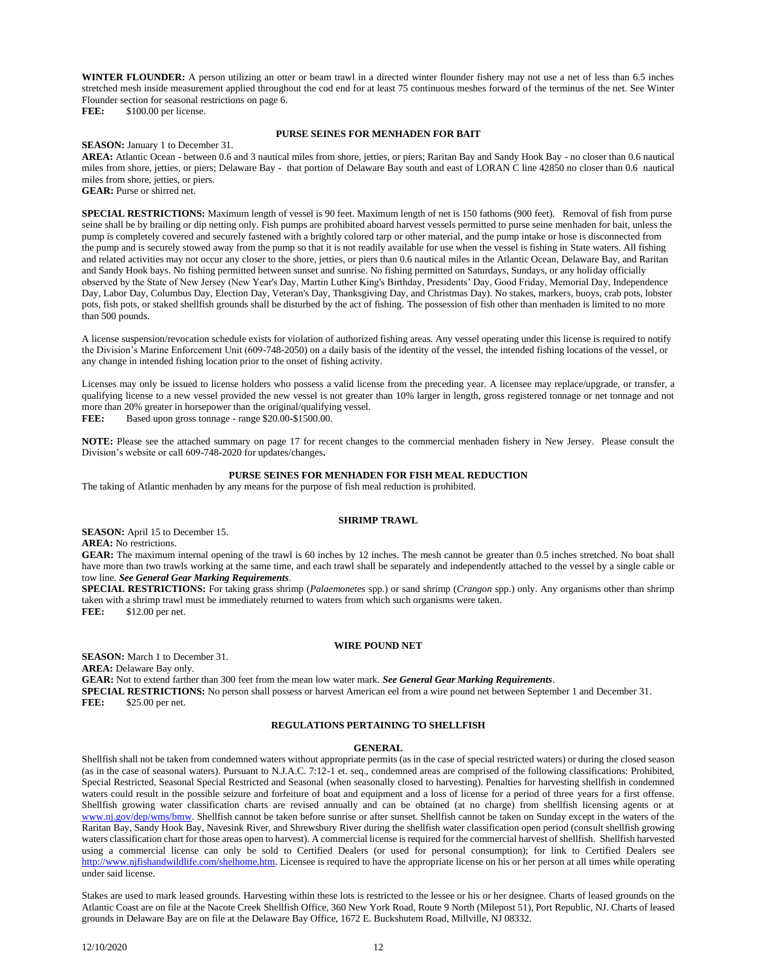**WINTER FLOUNDER:** A person utilizing an otter or beam trawl in a directed winter flounder fishery may not use a net of less than 6.5 inches stretched mesh inside measurement applied throughout the cod end for at least 75 continuous meshes forward of the terminus of the net. See Winter Flounder section for seasonal restrictions on page 6.

FEE: \$100.00 per license.

## **PURSE SEINES FOR MENHADEN FOR BAIT**

**SEASON:** January 1 to December 31.

**AREA:** Atlantic Ocean - between 0.6 and 3 nautical miles from shore, jetties, or piers; Raritan Bay and Sandy Hook Bay - no closer than 0.6 nautical miles from shore, jetties, or piers; Delaware Bay - that portion of Delaware Bay south and east of LORAN C line 42850 no closer than 0.6 nautical miles from shore, jetties, or piers. **GEAR:** Purse or shirred net.

**SPECIAL RESTRICTIONS:** Maximum length of vessel is 90 feet. Maximum length of net is 150 fathoms (900 feet). Removal of fish from purse seine shall be by brailing or dip netting only. Fish pumps are prohibited aboard harvest vessels permitted to purse seine menhaden for bait, unless the pump is completely covered and securely fastened with a brightly colored tarp or other material, and the pump intake or hose is disconnected from the pump and is securely stowed away from the pump so that it is not readily available for use when the vessel is fishing in State waters. All fishing and related activities may not occur any closer to the shore, jetties, or piers than 0.6 nautical miles in the Atlantic Ocean, Delaware Bay, and Raritan and Sandy Hook bays. No fishing permitted between sunset and sunrise. No fishing permitted on Saturdays, Sundays, or any holiday officially observed by the State of New Jersey (New Year's Day, Martin Luther King's Birthday, Presidents' Day, Good Friday, Memorial Day, Independence Day, Labor Day, Columbus Day, Election Day, Veteran's Day, Thanksgiving Day, and Christmas Day). No stakes, markers, buoys, crab pots, lobster pots, fish pots, or staked shellfish grounds shall be disturbed by the act of fishing. The possession of fish other than menhaden is limited to no more than 500 pounds.

A license suspension/revocation schedule exists for violation of authorized fishing areas. Any vessel operating under this license is required to notify the Division's Marine Enforcement Unit (609-748-2050) on a daily basis of the identity of the vessel, the intended fishing locations of the vessel, or any change in intended fishing location prior to the onset of fishing activity.

Licenses may only be issued to license holders who possess a valid license from the preceding year. A licensee may replace/upgrade, or transfer, a qualifying license to a new vessel provided the new vessel is not greater than 10% larger in length, gross registered tonnage or net tonnage and not more than 20% greater in horsepower than the original/qualifying vessel.

FEE: Based upon gross tonnage - range \$20.00-\$1500.00.

**NOTE:** Please see the attached summary on page 17 for recent changes to the commercial menhaden fishery in New Jersey. Please consult the Division's website or call 609-748-2020 for updates/changes**.**

## **PURSE SEINES FOR MENHADEN FOR FISH MEAL REDUCTION**

The taking of Atlantic menhaden by any means for the purpose of fish meal reduction is prohibited.

### **SHRIMP TRAWL**

**SEASON:** April 15 to December 15. **AREA:** No restrictions.

**GEAR:** The maximum internal opening of the trawl is 60 inches by 12 inches. The mesh cannot be greater than 0.5 inches stretched. No boat shall have more than two trawls working at the same time, and each trawl shall be separately and independently attached to the vessel by a single cable or tow line. *See General Gear Marking Requirements*.

**SPECIAL RESTRICTIONS:** For taking grass shrimp (*Palaemonetes* spp.) or sand shrimp (*Crangon* spp.) only. Any organisms other than shrimp taken with a shrimp trawl must be immediately returned to waters from which such organisms were taken. **FEE:** \$12.00 per net.

## **WIRE POUND NET**

**SEASON:** March 1 to December 31.

**AREA:** Delaware Bay only.

**GEAR:** Not to extend farther than 300 feet from the mean low water mark. *See General Gear Marking Requirements*. **SPECIAL RESTRICTIONS:** No person shall possess or harvest American eel from a wire pound net between September 1 and December 31.

**FEE:** \$25.00 per net.

## **REGULATIONS PERTAINING TO SHELLFISH**

#### **GENERAL**

Shellfish shall not be taken from condemned waters without appropriate permits (as in the case of special restricted waters) or during the closed season (as in the case of seasonal waters). Pursuant to N.J.A.C. 7:12-1 et. seq., condemned areas are comprised of the following classifications: Prohibited, Special Restricted, Seasonal Special Restricted and Seasonal (when seasonally closed to harvesting). Penalties for harvesting shellfish in condemned waters could result in the possible seizure and forfeiture of boat and equipment and a loss of license for a period of three years for a first offense. Shellfish growing water classification charts are revised annually and can be obtained (at no charge) from shellfish licensing agents or at [www.nj.gov/dep/wms/bmw.](http://www.nj.gov/dep/wms/bmw) Shellfish cannot be taken before sunrise or after sunset. Shellfish cannot be taken on Sunday except in the waters of the Raritan Bay, Sandy Hook Bay, Navesink River, and Shrewsbury River during the shellfish water classification open period (consult shellfish growing waters classification chart for those areas open to harvest). A commercial license is required for the commercial harvest of shellfish. Shellfish harvested using a commercial license can only be sold to Certified Dealers (or used for personal consumption); for link to Certified Dealers see [http://www.njfishandwildlife.com/shelhome.htm.](http://www.njfishandwildlife.com/shelhome.htm) Licensee is required to have the appropriate license on his or her person at all times while operating under said license.

Stakes are used to mark leased grounds. Harvesting within these lots is restricted to the lessee or his or her designee. Charts of leased grounds on the Atlantic Coast are on file at the Nacote Creek Shellfish Office, 360 New York Road, Route 9 North (Milepost 51), Port Republic, NJ. Charts of leased grounds in Delaware Bay are on file at the Delaware Bay Office, 1672 E. Buckshutem Road, Millville, NJ 08332.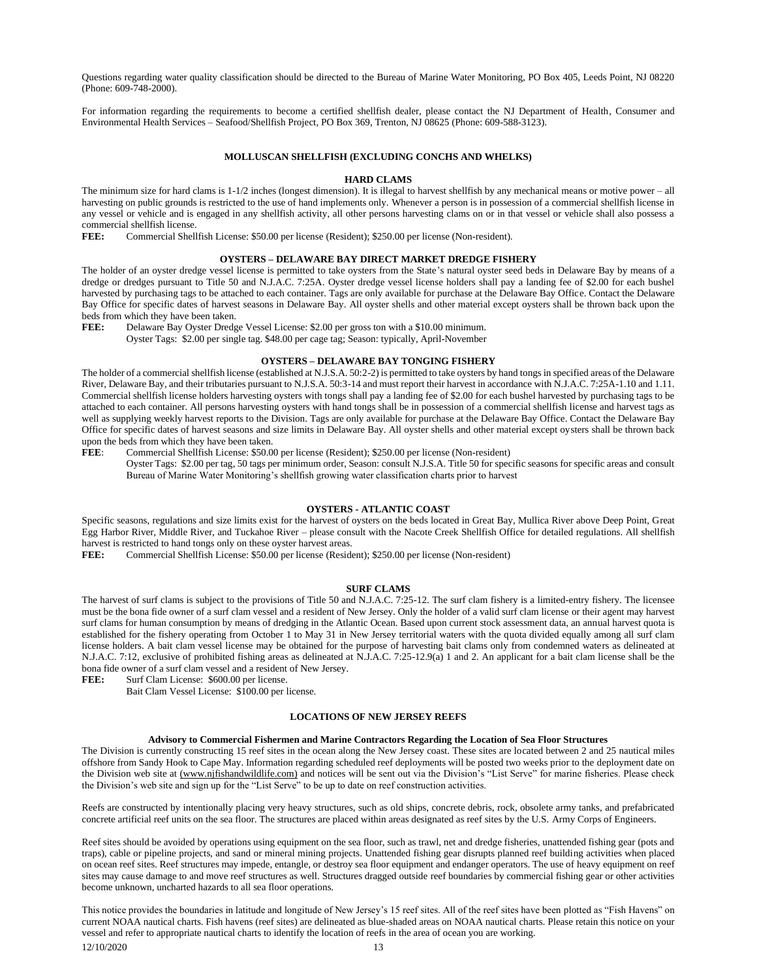Questions regarding water quality classification should be directed to the Bureau of Marine Water Monitoring, PO Box 405, Leeds Point, NJ 08220 (Phone: 609-748-2000).

For information regarding the requirements to become a certified shellfish dealer, please contact the NJ Department of Health, Consumer and Environmental Health Services – Seafood/Shellfish Project, PO Box 369, Trenton, NJ 08625 (Phone: 609-588-3123).

# **MOLLUSCAN SHELLFISH (EXCLUDING CONCHS AND WHELKS)**

### **HARD CLAMS**

The minimum size for hard clams is 1-1/2 inches (longest dimension). It is illegal to harvest shellfish by any mechanical means or motive power – all harvesting on public grounds is restricted to the use of hand implements only. Whenever a person is in possession of a commercial shellfish license in any vessel or vehicle and is engaged in any shellfish activity, all other persons harvesting clams on or in that vessel or vehicle shall also possess a commercial shellfish license.

**FEE:** Commercial Shellfish License: \$50.00 per license (Resident); \$250.00 per license (Non-resident).

# **OYSTERS – DELAWARE BAY DIRECT MARKET DREDGE FISHERY**

The holder of an oyster dredge vessel license is permitted to take oysters from the State's natural oyster seed beds in Delaware Bay by means of a dredge or dredges pursuant to Title 50 and N.J.A.C. 7:25A. Oyster dredge vessel license holders shall pay a landing fee of \$2.00 for each bushel harvested by purchasing tags to be attached to each container. Tags are only available for purchase at the Delaware Bay Office. Contact the Delaware Bay Office for specific dates of harvest seasons in Delaware Bay. All oyster shells and other material except oysters shall be thrown back upon the beds from which they have been taken.

**FEE:** Delaware Bay Oyster Dredge Vessel License: \$2.00 per gross ton with a \$10.00 minimum.

Oyster Tags: \$2.00 per single tag. \$48.00 per cage tag; Season: typically, April-November

## **OYSTERS – DELAWARE BAY TONGING FISHERY**

The holder of a commercial shellfish license (established at N.J.S.A. 50:2-2) is permitted to take oysters by hand tongs in specified areas of the Delaware River, Delaware Bay, and their tributaries pursuant to N.J.S.A. 50:3-14 and must report their harvest in accordance with N.J.A.C. 7:25A-1.10 and 1.11. Commercial shellfish license holders harvesting oysters with tongs shall pay a landing fee of \$2.00 for each bushel harvested by purchasing tags to be attached to each container. All persons harvesting oysters with hand tongs shall be in possession of a commercial shellfish license and harvest tags as well as supplying weekly harvest reports to the Division. Tags are only available for purchase at the Delaware Bay Office. Contact the Delaware Bay Office for specific dates of harvest seasons and size limits in Delaware Bay. All oyster shells and other material except oysters shall be thrown back upon the beds from which they have been taken.

**FEE**: Commercial Shellfish License: \$50.00 per license (Resident); \$250.00 per license (Non-resident) Oyster Tags: \$2.00 per tag, 50 tags per minimum order, Season: consult N.J.S.A. Title 50 for specific seasons for specific areas and consult Bureau of Marine Water Monitoring's shellfish growing water classification charts prior to harvest

## **OYSTERS - ATLANTIC COAST**

Specific seasons, regulations and size limits exist for the harvest of oysters on the beds located in Great Bay, Mullica River above Deep Point, Great Egg Harbor River, Middle River, and Tuckahoe River – please consult with the Nacote Creek Shellfish Office for detailed regulations. All shellfish harvest is restricted to hand tongs only on these oyster harvest areas.

**FEE:** Commercial Shellfish License: \$50.00 per license (Resident); \$250.00 per license (Non-resident)

## **SURF CLAMS**

The harvest of surf clams is subject to the provisions of Title 50 and N.J.A.C. 7:25-12. The surf clam fishery is a limited-entry fishery. The licensee must be the bona fide owner of a surf clam vessel and a resident of New Jersey. Only the holder of a valid surf clam license or their agent may harvest surf clams for human consumption by means of dredging in the Atlantic Ocean. Based upon current stock assessment data, an annual harvest quota is established for the fishery operating from October 1 to May 31 in New Jersey territorial waters with the quota divided equally among all surf clam license holders. A bait clam vessel license may be obtained for the purpose of harvesting bait clams only from condemned waters as delineated at N.J.A.C. 7:12, exclusive of prohibited fishing areas as delineated at N.J.A.C. 7:25-12.9(a) 1 and 2. An applicant for a bait clam license shall be the bona fide owner of a surf clam vessel and a resident of New Jersey.<br> **FEE:** Surf Clam License: \$600.00 per license.

Surf Clam License: \$600.00 per license.

Bait Clam Vessel License: \$100.00 per license.

# **LOCATIONS OF NEW JERSEY REEFS**

#### **Advisory to Commercial Fishermen and Marine Contractors Regarding the Location of Sea Floor Structures**

The Division is currently constructing 15 reef sites in the ocean along the New Jersey coast. These sites are located between 2 and 25 nautical miles offshore from Sandy Hook to Cape May. Information regarding scheduled reef deployments will be posted two weeks prior to the deployment date on the Division web site at (www.njfishandwildlife.com) and notices will be sent out via the Division's "List Serve" for marine fisheries. Please check the Division's web site and sign up for the "List Serve" to be up to date on reef construction activities.

Reefs are constructed by intentionally placing very heavy structures, such as old ships, concrete debris, rock, obsolete army tanks, and prefabricated concrete artificial reef units on the sea floor. The structures are placed within areas designated as reef sites by the U.S. Army Corps of Engineers.

Reef sites should be avoided by operations using equipment on the sea floor, such as trawl, net and dredge fisheries, unattended fishing gear (pots and traps), cable or pipeline projects, and sand or mineral mining projects. Unattended fishing gear disrupts planned reef building activities when placed on ocean reef sites. Reef structures may impede, entangle, or destroy sea floor equipment and endanger operators. The use of heavy equipment on reef sites may cause damage to and move reef structures as well. Structures dragged outside reef boundaries by commercial fishing gear or other activities become unknown, uncharted hazards to all sea floor operations.

12/10/2020 13 This notice provides the boundaries in latitude and longitude of New Jersey's 15 reef sites. All of the reef sites have been plotted as "Fish Havens" on current NOAA nautical charts. Fish havens (reef sites) are delineated as blue-shaded areas on NOAA nautical charts. Please retain this notice on your vessel and refer to appropriate nautical charts to identify the location of reefs in the area of ocean you are working.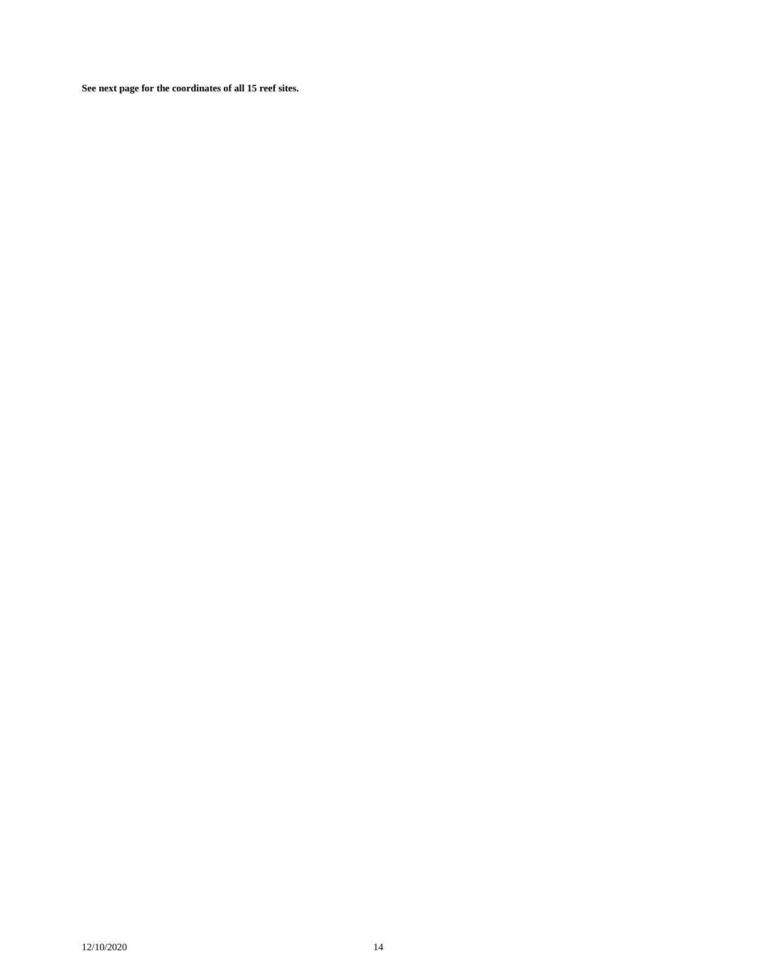**See next page for the coordinates of all 15 reef sites.**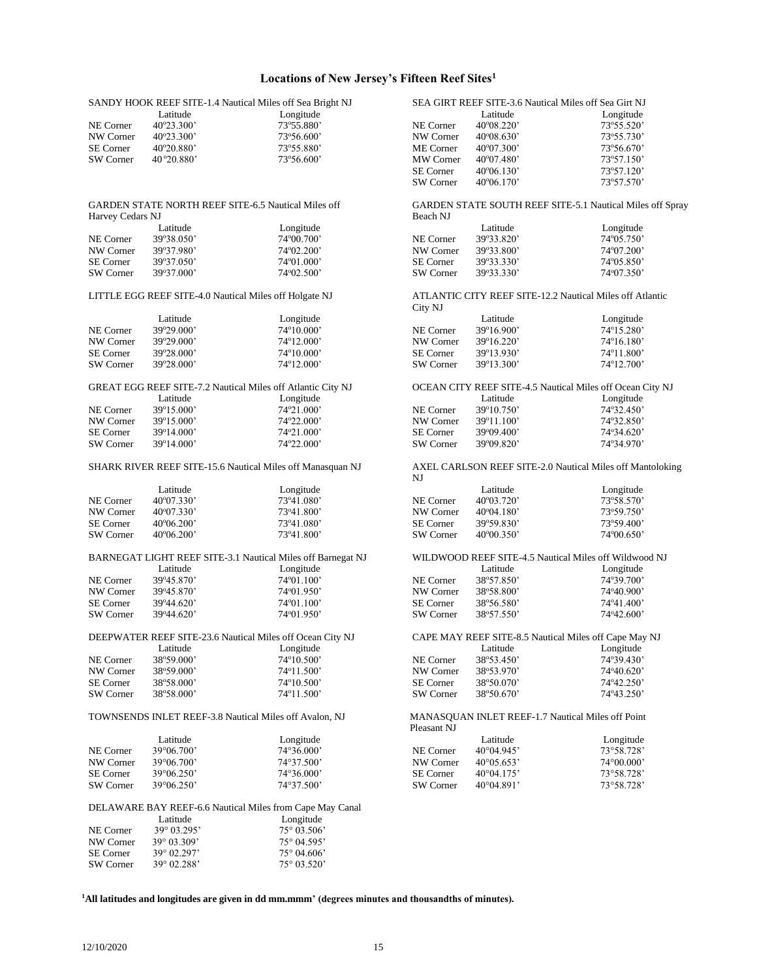# **Locations of New Jersey's Fifteen Reef Sites<sup>1</sup>**

|                        | SANDY HOOK REEF SITE-1.4 Nautical Miles off Sea Bright NJ            |                      |                        | SEA GIRT REEF SITE-3.6 Nautical Miles off Sea Girt NJ     |                     |
|------------------------|----------------------------------------------------------------------|----------------------|------------------------|-----------------------------------------------------------|---------------------|
|                        | Latitude                                                             | Longitude            |                        | Latitude                                                  | Longitude           |
| NE Corner              | 40°23.300'                                                           | 73°55.880'           | NE Corner              | $40^{\circ}08.220$                                        | 73°55.520'          |
| NW Corner              | 40°23.300'                                                           | 73°56.600'           | NW Corner              | $40^{\circ}08.630'$                                       | 73°55.730'          |
| <b>SE</b> Corner       | 40°20.880'                                                           | 73°55.880'           | ME Corner              | 40°07.300'                                                | 73°56.670'          |
| SW Corner              | 40 ° 20.880'                                                         | 73°56.600'           | MW Corner              | 40°07.480'                                                | 73°57.150'          |
|                        |                                                                      |                      | SE Corner              | $40^{\circ}06.130'$                                       | 73°57.120'          |
|                        |                                                                      |                      | SW Corner              | $40^{\circ}06.170'$                                       | 73°57.570'          |
| Harvey Cedars NJ       | <b>GARDEN STATE NORTH REEF SITE-6.5 Nautical Miles off</b>           |                      | Beach NJ               | GARDEN STATE SOUTH REEF SITE-5.1 Nautical Miles off Spray |                     |
|                        | Latitude                                                             | Longitude            |                        | Latitude                                                  | Longitude           |
| NE Corner              |                                                                      | 74°00.700'           |                        |                                                           | 74°05.750'          |
|                        | 39°38.050'                                                           |                      | NE Corner              | 39°33.820'                                                |                     |
| NW Corner              | 39°37.980'                                                           | 74°02.200'           | NW Corner              | 39°33.800'                                                | 74°07.200'          |
| <b>SE</b> Corner       | 39°37.050'                                                           | 74°01.000'           | <b>SE</b> Corner       | 39°33.330'                                                | $74^{\circ}05.850'$ |
| SW Corner              | 39°37.000'                                                           | 74°02.500'           | SW Corner              | 39°33.330'                                                | 74°07.350'          |
|                        | LITTLE EGG REEF SITE-4.0 Nautical Miles off Holgate NJ               |                      | City NJ                | ATLANTIC CITY REEF SITE-12.2 Nautical Miles off Atlantic  |                     |
|                        | Latitude                                                             | Longitude            |                        | Latitude                                                  | Longitude           |
| NE Corner              | 39°29.000'                                                           | 74°10.000'           | NE Corner              | 39°16.900'                                                | 74°15.280'          |
|                        |                                                                      |                      |                        |                                                           |                     |
| NW Corner              | 39°29.000'                                                           | 74°12.000'           | NW Corner              | 39°16.220'                                                | $74^{\circ}16.180'$ |
| <b>SE</b> Corner       | 39°28.000'                                                           | 74°10.000'           | <b>SE</b> Corner       | 39°13.930'                                                | 74°11.800'          |
| SW Corner              | 39°28.000'                                                           | 74°12.000'           | SW Corner              | 39°13.300'                                                | 74°12.700'          |
|                        | GREAT EGG REEF SITE-7.2 Nautical Miles off Atlantic City NJ          |                      |                        | OCEAN CITY REEF SITE-4.5 Nautical Miles off Ocean City NJ |                     |
|                        | Latitude                                                             | Longitude            |                        | Latitude                                                  | Longitude           |
| NE Corner              | 39°15.000'                                                           | 74°21.000'           | NE Corner              | 39°10.750'                                                | 74°32.450'          |
| NW Corner              | 39°15.000'                                                           | 74°22.000'           | NW Corner              | 39°11.100'                                                | 74°32.850'          |
| <b>SE</b> Corner       | 39°14.000'                                                           | 74°21.000'           | SE Corner              | 39°09.400'                                                | 74°34.620'          |
| SW Corner              | 39°14.000'                                                           | 74°22.000'           | SW Corner              | 39°09.820'                                                | 74°34.970'          |
|                        | SHARK RIVER REEF SITE-15.6 Nautical Miles off Manasquan NJ           |                      | NJ                     | AXEL CARLSON REEF SITE-2.0 Nautical Miles off Mantoloking |                     |
|                        | Latitude                                                             | Longitude            |                        | Latitude                                                  | Longitude           |
| NE Corner              | 40°07.330'                                                           | 73°41.080'           | NE Corner              | 40°03.720'                                                | 73°58.570'          |
| NW Corner              | 40°07.330'                                                           | 73°41.800'           | NW Corner              | $40^{\circ}04.180'$                                       | 73°59.750'          |
| <b>SE</b> Corner       | $40^{\circ}06.200'$                                                  | 73°41.080'           | SE Corner              | 39°59.830'                                                | 73°59.400'          |
| SW Corner              | 40°06.200'                                                           | 73°41.800'           | SW Corner              | 40°00.350'                                                | 74°00.650'          |
|                        |                                                                      |                      |                        |                                                           |                     |
|                        | BARNEGAT LIGHT REEF SITE-3.1 Nautical Miles off Barnegat NJ          |                      |                        | WILDWOOD REEF SITE-4.5 Nautical Miles off Wildwood NJ     |                     |
|                        | Latitude                                                             | Longitude            |                        | Latitude                                                  | Longitude           |
| NE Corner              | 39°45.870'                                                           | 74°01.100'           | NE Corner              | 38°57.850'                                                | 74°39.700'          |
| NW Corner              |                                                                      |                      | NW Corner              | 38°58.800'                                                | 74°40.900'          |
|                        | 39°45.870'                                                           | 74°01.950'           |                        |                                                           |                     |
| <b>SE</b> Corner       | $39^{\circ}44.620'$                                                  | $74^{\circ}01.100'$  | SE Corner              | 38°56.580'                                                | 74°41.400'          |
| SW Corner              | $39^{\circ}44.620'$                                                  | 74°01.950'           | SW Corner              | 38°57.550'                                                | 74°42.600'          |
|                        | DEEPWATER REEF SITE-23.6 Nautical Miles off Ocean City NJ            |                      |                        | CAPE MAY REEF SITE-8.5 Nautical Miles off Cape May NJ     |                     |
|                        | Latitude                                                             | Longitude            |                        | Latitude                                                  | Longitude           |
| NE Corner              | 38°59.000'                                                           | 74°10.500'           | NE Corner              | 38°53.450'                                                | 74°39.430'          |
| NW Corner              | 38°59.000'                                                           | 74°11.500'           | NW Corner              | 38°53.970'                                                | 74°40.620'          |
|                        |                                                                      | 74°10.500'           |                        | 38°50.070'                                                | 74°42.250'          |
| SE Corner<br>SW Corner | 38°58.000'<br>38°58.000'                                             | 74°11.500'           | SE Corner<br>SW Corner | 38°50.670'                                                | 74°43.250'          |
|                        |                                                                      |                      |                        |                                                           |                     |
|                        | TOWNSENDS INLET REEF-3.8 Nautical Miles off Avalon, NJ               |                      | Pleasant NJ            | MANASQUAN INLET REEF-1.7 Nautical Miles off Point         |                     |
|                        | Latitude                                                             | Longitude            |                        | Latitude                                                  | Longitude           |
| NE Corner              | 39°06.700'                                                           | 74°36.000'           | NE Corner              | 40°04.945'                                                | 73°58.728'          |
| NW Corner              | 39°06.700'                                                           | 74°37.500'           | NW Corner              | $40^{\circ}05.653'$                                       | 74°00.000'          |
|                        |                                                                      | 74°36.000'           |                        | 40°04.175'                                                |                     |
| SE Corner              | 39°06.250'                                                           |                      | SE Corner              |                                                           | 73°58.728'          |
| SW Corner              | 39°06.250'                                                           | 74°37.500'           | SW Corner              | $40^{\circ}04.891'$                                       | 73°58.728'          |
|                        | DELAWARE BAY REEF-6.6 Nautical Miles from Cape May Canal<br>Latitude | Longitude            |                        |                                                           |                     |
| NE Corner              | 39° 03.295'                                                          | 75° 03.506'          |                        |                                                           |                     |
|                        |                                                                      |                      |                        |                                                           |                     |
| NW Corner              | $39^{\circ}$ 03.309'                                                 | 75° 04.595'          |                        |                                                           |                     |
| SE Corner              | $39^{\circ}$ 02.297'                                                 | $75^{\circ}$ 04.606' |                        |                                                           |                     |
| SW Corner              | 39° 02.288'                                                          | 75° 03.520'          |                        |                                                           |                     |

**1All latitudes and longitudes are given in dd mm.mmm' (degrees minutes and thousandths of minutes).**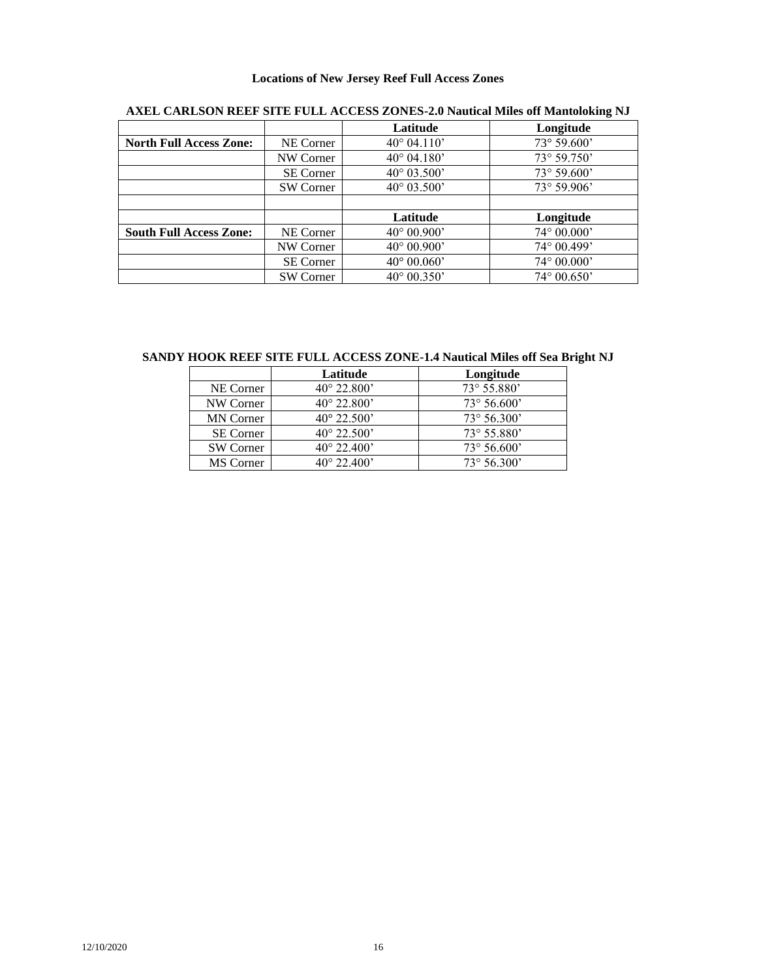# **Locations of New Jersey Reef Full Access Zones**

|                                |                  | Latitude             | Longitude            |
|--------------------------------|------------------|----------------------|----------------------|
| <b>North Full Access Zone:</b> | NE Corner        | $40^{\circ}$ 04.110' | 73° 59.600'          |
|                                | NW Corner        | $40^{\circ}$ 04.180' | 73° 59.750'          |
|                                | <b>SE Corner</b> | $40^{\circ}$ 03.500' | $73^{\circ} 59.600'$ |
|                                | SW Corner        | $40^{\circ}$ 03.500' | $73^{\circ} 59.906'$ |
|                                |                  |                      |                      |
|                                |                  | Latitude             | Longitude            |
| <b>South Full Access Zone:</b> | NE Corner        | $40^{\circ} 00.900'$ | $74^{\circ} 00.000'$ |
|                                | NW Corner        | $40^{\circ} 00.900'$ | 74° 00.499'          |
|                                | <b>SE</b> Corner | $40^{\circ} 00.060'$ | $74^{\circ} 00.000'$ |
|                                | <b>SW Corner</b> | $40^{\circ}$ 00.350' | $74^{\circ} 00.650'$ |

# **AXEL CARLSON REEF SITE FULL ACCESS ZONES-2.0 Nautical Miles off Mantoloking NJ**

**SANDY HOOK REEF SITE FULL ACCESS ZONE-1.4 Nautical Miles off Sea Bright NJ**

|                  | Latitude             | Longitude            |
|------------------|----------------------|----------------------|
| NE Corner        | $40^{\circ}$ 22.800' | 73° 55.880'          |
| NW Corner        | $40^{\circ}$ 22.800' | $73^{\circ} 56.600'$ |
| <b>MN</b> Corner | $40^{\circ}$ 22.500' | $73^{\circ} 56.300'$ |
| <b>SE Corner</b> | $40^{\circ}$ 22.500' | $73^{\circ} 55.880'$ |
| SW Corner        | $40^{\circ}$ 22.400' | $73^{\circ} 56.600'$ |
| MS Corner        | $40^{\circ}$ 22.400' | $73^{\circ} 56.300'$ |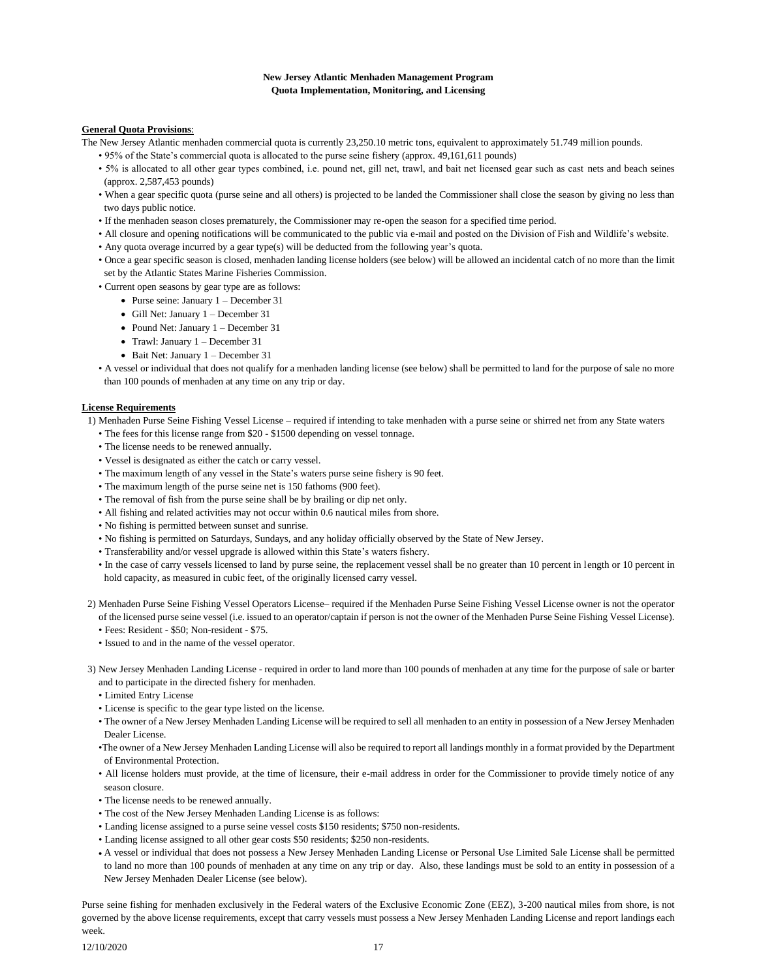# **New Jersey Atlantic Menhaden Management Program Quota Implementation, Monitoring, and Licensing**

# **General Quota Provisions**:

The New Jersey Atlantic menhaden commercial quota is currently 23,250.10 metric tons, equivalent to approximately 51.749 million pounds.

- 95% of the State's commercial quota is allocated to the purse seine fishery (approx. 49,161,611 pounds)
- 5% is allocated to all other gear types combined, i.e. pound net, gill net, trawl, and bait net licensed gear such as cast nets and beach seines (approx. 2,587,453 pounds)
- When a gear specific quota (purse seine and all others) is projected to be landed the Commissioner shall close the season by giving no less than two days public notice.
- If the menhaden season closes prematurely, the Commissioner may re-open the season for a specified time period.
- All closure and opening notifications will be communicated to the public via e-mail and posted on the Division of Fish and Wildlife's website.
- Any quota overage incurred by a gear type(s) will be deducted from the following year's quota.
- Once a gear specific season is closed, menhaden landing license holders (see below) will be allowed an incidental catch of no more than the limit set by the Atlantic States Marine Fisheries Commission.

• Current open seasons by gear type are as follows:

- Purse seine: January 1 December 31
- Gill Net: January 1 December 31
- Pound Net: January 1 December 31
- Trawl: January 1 December 31
- Bait Net: January 1 December 31
- A vessel or individual that does not qualify for a menhaden landing license (see below) shall be permitted to land for the purpose of sale no more than 100 pounds of menhaden at any time on any trip or day.

## **License Requirements**

- 1) Menhaden Purse Seine Fishing Vessel License required if intending to take menhaden with a purse seine or shirred net from any State waters
	- The fees for this license range from \$20 \$1500 depending on vessel tonnage.
	- The license needs to be renewed annually.
	- Vessel is designated as either the catch or carry vessel.
	- The maximum length of any vessel in the State's waters purse seine fishery is 90 feet.
	- The maximum length of the purse seine net is 150 fathoms (900 feet).
	- The removal of fish from the purse seine shall be by brailing or dip net only.
	- All fishing and related activities may not occur within 0.6 nautical miles from shore.
	- No fishing is permitted between sunset and sunrise.
	- No fishing is permitted on Saturdays, Sundays, and any holiday officially observed by the State of New Jersey.
	- Transferability and/or vessel upgrade is allowed within this State's waters fishery.
	- In the case of carry vessels licensed to land by purse seine, the replacement vessel shall be no greater than 10 percent in length or 10 percent in hold capacity, as measured in cubic feet, of the originally licensed carry vessel.
- 2) Menhaden Purse Seine Fishing Vessel Operators License– required if the Menhaden Purse Seine Fishing Vessel License owner is not the operator of the licensed purse seine vessel (i.e. issued to an operator/captain if person is not the owner of the Menhaden Purse Seine Fishing Vessel License).
	- Fees: Resident \$50; Non-resident \$75.
	- Issued to and in the name of the vessel operator.
- 3) New Jersey Menhaden Landing License required in order to land more than 100 pounds of menhaden at any time for the purpose of sale or barter and to participate in the directed fishery for menhaden.
	- Limited Entry License
	- License is specific to the gear type listed on the license.
	- The owner of a New Jersey Menhaden Landing License will be required to sell all menhaden to an entity in possession of a New Jersey Menhaden Dealer License.
	- •The owner of a New Jersey Menhaden Landing License will also be required to report all landings monthly in a format provided by the Department of Environmental Protection.
	- All license holders must provide, at the time of licensure, their e-mail address in order for the Commissioner to provide timely notice of any season closure.
	- The license needs to be renewed annually.
	- The cost of the New Jersey Menhaden Landing License is as follows:
	- Landing license assigned to a purse seine vessel costs \$150 residents; \$750 non-residents.
	- Landing license assigned to all other gear costs \$50 residents; \$250 non-residents.
	- A vessel or individual that does not possess a New Jersey Menhaden Landing License or Personal Use Limited Sale License shall be permitted to land no more than 100 pounds of menhaden at any time on any trip or day. Also, these landings must be sold to an entity in possession of a New Jersey Menhaden Dealer License (see below).

Purse seine fishing for menhaden exclusively in the Federal waters of the Exclusive Economic Zone (EEZ), 3-200 nautical miles from shore, is not governed by the above license requirements, except that carry vessels must possess a New Jersey Menhaden Landing License and report landings each week.